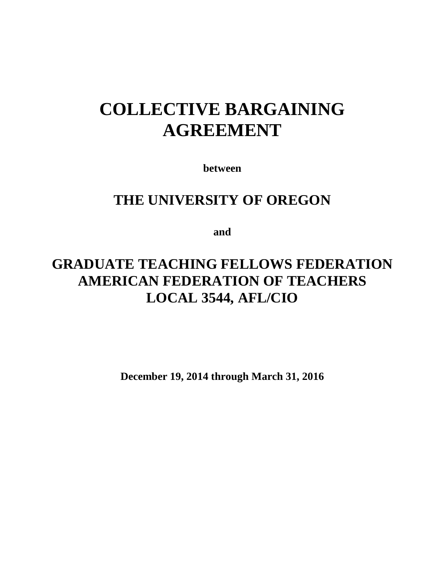# **COLLECTIVE BARGAINING AGREEMENT**

**between**

## **THE UNIVERSITY OF OREGON**

**and**

## **GRADUATE TEACHING FELLOWS FEDERATION AMERICAN FEDERATION OF TEACHERS LOCAL 3544, AFL/CIO**

**December 19, 2014 through March 31, 2016**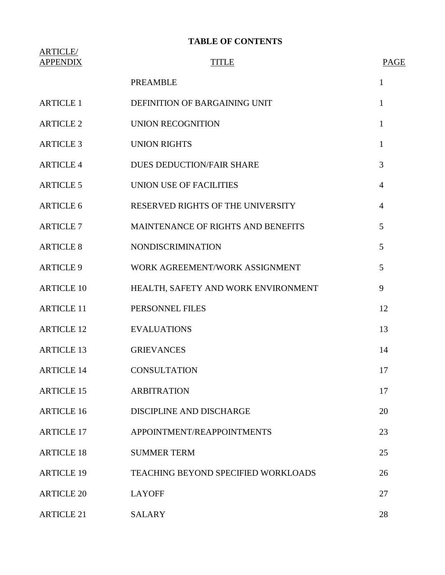## **TABLE OF CONTENTS**

| <b>ARTICLE</b><br><b>APPENDIX</b> | <b>TITLE</b>                               | <b>PAGE</b>    |
|-----------------------------------|--------------------------------------------|----------------|
|                                   | <b>PREAMBLE</b>                            | $\mathbf{1}$   |
| <b>ARTICLE 1</b>                  | DEFINITION OF BARGAINING UNIT              | 1              |
| <b>ARTICLE 2</b>                  | <b>UNION RECOGNITION</b>                   | 1              |
| <b>ARTICLE 3</b>                  | <b>UNION RIGHTS</b>                        | 1              |
| <b>ARTICLE 4</b>                  | DUES DEDUCTION/FAIR SHARE                  | 3              |
| <b>ARTICLE 5</b>                  | UNION USE OF FACILITIES                    | $\overline{4}$ |
| <b>ARTICLE 6</b>                  | RESERVED RIGHTS OF THE UNIVERSITY          | $\overline{4}$ |
| <b>ARTICLE 7</b>                  | MAINTENANCE OF RIGHTS AND BENEFITS         | 5              |
| <b>ARTICLE 8</b>                  | <b>NONDISCRIMINATION</b>                   | 5              |
| <b>ARTICLE 9</b>                  | WORK AGREEMENT/WORK ASSIGNMENT             | 5              |
| <b>ARTICLE 10</b>                 | HEALTH, SAFETY AND WORK ENVIRONMENT        | 9              |
| <b>ARTICLE 11</b>                 | PERSONNEL FILES                            | 12             |
| <b>ARTICLE 12</b>                 | <b>EVALUATIONS</b>                         | 13             |
| <b>ARTICLE 13</b>                 | <b>GRIEVANCES</b>                          | 14             |
| <b>ARTICLE 14</b>                 | <b>CONSULTATION</b>                        | 17             |
| <b>ARTICLE 15</b>                 | <b>ARBITRATION</b>                         | 17             |
| <b>ARTICLE 16</b>                 | DISCIPLINE AND DISCHARGE                   | 20             |
| <b>ARTICLE 17</b>                 | APPOINTMENT/REAPPOINTMENTS                 | 23             |
| <b>ARTICLE 18</b>                 | <b>SUMMER TERM</b>                         | 25             |
| <b>ARTICLE 19</b>                 | <b>TEACHING BEYOND SPECIFIED WORKLOADS</b> | 26             |
| <b>ARTICLE 20</b>                 | <b>LAYOFF</b>                              | 27             |
| <b>ARTICLE 21</b>                 | <b>SALARY</b>                              | 28             |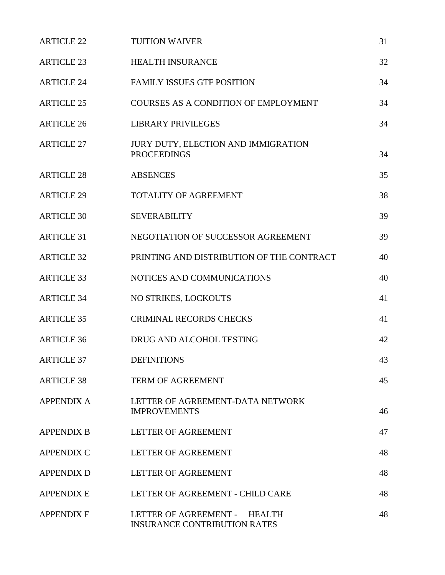| <b>ARTICLE 22</b> | <b>TUITION WAIVER</b>                                               | 31 |
|-------------------|---------------------------------------------------------------------|----|
| <b>ARTICLE 23</b> | <b>HEALTH INSURANCE</b>                                             | 32 |
| <b>ARTICLE 24</b> | <b>FAMILY ISSUES GTF POSITION</b>                                   | 34 |
| <b>ARTICLE 25</b> | COURSES AS A CONDITION OF EMPLOYMENT                                | 34 |
| <b>ARTICLE 26</b> | <b>LIBRARY PRIVILEGES</b>                                           | 34 |
| <b>ARTICLE 27</b> | JURY DUTY, ELECTION AND IMMIGRATION<br><b>PROCEEDINGS</b>           | 34 |
| <b>ARTICLE 28</b> | <b>ABSENCES</b>                                                     | 35 |
| <b>ARTICLE 29</b> | <b>TOTALITY OF AGREEMENT</b>                                        | 38 |
| <b>ARTICLE 30</b> | <b>SEVERABILITY</b>                                                 | 39 |
| <b>ARTICLE 31</b> | NEGOTIATION OF SUCCESSOR AGREEMENT                                  | 39 |
| <b>ARTICLE 32</b> | PRINTING AND DISTRIBUTION OF THE CONTRACT                           | 40 |
| <b>ARTICLE 33</b> | NOTICES AND COMMUNICATIONS                                          | 40 |
| <b>ARTICLE 34</b> | NO STRIKES, LOCKOUTS                                                | 41 |
| <b>ARTICLE 35</b> | <b>CRIMINAL RECORDS CHECKS</b>                                      | 41 |
| <b>ARTICLE 36</b> | DRUG AND ALCOHOL TESTING                                            | 42 |
| <b>ARTICLE 37</b> | <b>DEFINITIONS</b>                                                  | 43 |
| <b>ARTICLE 38</b> | <b>TERM OF AGREEMENT</b>                                            | 45 |
| <b>APPENDIX A</b> | LETTER OF AGREEMENT-DATA NETWORK<br><b>IMPROVEMENTS</b>             | 46 |
| <b>APPENDIX B</b> | LETTER OF AGREEMENT                                                 | 47 |
| <b>APPENDIX C</b> | <b>LETTER OF AGREEMENT</b>                                          | 48 |
| <b>APPENDIX D</b> | <b>LETTER OF AGREEMENT</b>                                          | 48 |
| <b>APPENDIX E</b> | LETTER OF AGREEMENT - CHILD CARE                                    | 48 |
| <b>APPENDIX F</b> | LETTER OF AGREEMENT - HEALTH<br><b>INSURANCE CONTRIBUTION RATES</b> | 48 |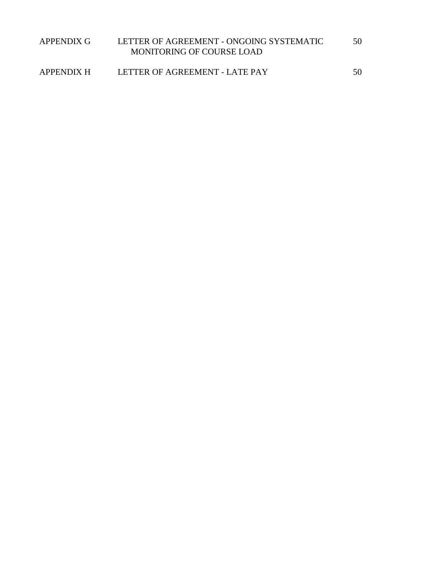| APPENDIX G | LETTER OF AGREEMENT - ONGOING SYSTEMATIC<br>MONITORING OF COURSE LOAD | 50 |
|------------|-----------------------------------------------------------------------|----|
| APPENDIX H | LETTER OF AGREEMENT - LATE PAY                                        | 50 |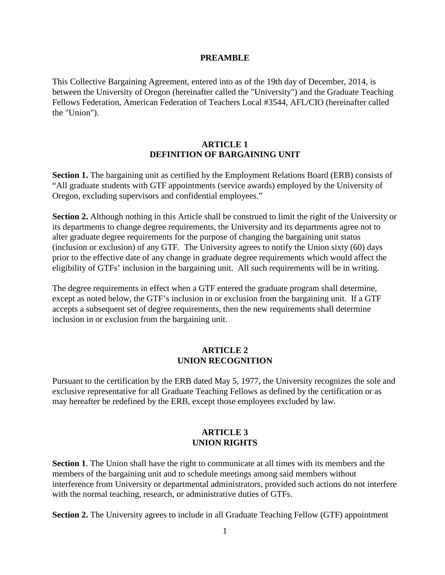#### **PREAMBLE**

This Collective Bargaining Agreement, entered into as of the 19th day of December, 2014, is between the University of Oregon (hereinafter called the "University") and the Graduate Teaching Fellows Federation, American Federation of Teachers Local #3544, AFL/CIO (hereinafter called the "Union").

#### **ARTICLE 1 DEFINITION OF BARGAINING UNIT**

**Section 1.** The bargaining unit as certified by the Employment Relations Board (ERB) consists of "All graduate students with GTF appointments (service awards) employed by the University of Oregon, excluding supervisors and confidential employees."

**Section 2.** Although nothing in this Article shall be construed to limit the right of the University or its departments to change degree requirements, the University and its departments agree not to alter graduate degree requirements for the purpose of changing the bargaining unit status (inclusion or exclusion) of any GTF. The University agrees to notify the Union sixty (60) days prior to the effective date of any change in graduate degree requirements which would affect the eligibility of GTFs' inclusion in the bargaining unit. All such requirements will be in writing.

The degree requirements in effect when a GTF entered the graduate program shall determine, except as noted below, the GTF's inclusion in or exclusion from the bargaining unit. If a GTF accepts a subsequent set of degree requirements, then the new requirements shall determine inclusion in or exclusion from the bargaining unit.

#### **ARTICLE 2 UNION RECOGNITION**

Pursuant to the certification by the ERB dated May 5, 1977, the University recognizes the sole and exclusive representative for all Graduate Teaching Fellows as defined by the certification or as may hereafter be redefined by the ERB, except those employees excluded by law.

#### **ARTICLE 3 UNION RIGHTS**

**Section 1**. The Union shall have the right to communicate at all times with its members and the members of the bargaining unit and to schedule meetings among said members without interference from University or departmental administrators, provided such actions do not interfere with the normal teaching, research, or administrative duties of GTFs.

**Section 2.** The University agrees to include in all Graduate Teaching Fellow (GTF) appointment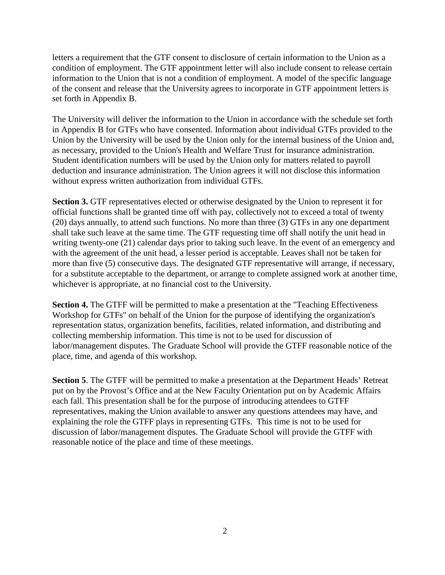letters a requirement that the GTF consent to disclosure of certain information to the Union as a condition of employment. The GTF appointment letter will also include consent to release certain information to the Union that is not a condition of employment. A model of the specific language of the consent and release that the University agrees to incorporate in GTF appointment letters is set forth in Appendix B.

The University will deliver the information to the Union in accordance with the schedule set forth in Appendix B for GTFs who have consented. Information about individual GTFs provided to the Union by the University will be used by the Union only for the internal business of the Union and, as necessary, provided to the Union's Health and Welfare Trust for insurance administration. Student identification numbers will be used by the Union only for matters related to payroll deduction and insurance administration. The Union agrees it will not disclose this information without express written authorization from individual GTFs.

**Section 3.** GTF representatives elected or otherwise designated by the Union to represent it for official functions shall be granted time off with pay, collectively not to exceed a total of twenty (20) days annually, to attend such functions. No more than three (3) GTFs in any one department shall take such leave at the same time. The GTF requesting time off shall notify the unit head in writing twenty-one (21) calendar days prior to taking such leave. In the event of an emergency and with the agreement of the unit head, a lesser period is acceptable. Leaves shall not be taken for more than five (5) consecutive days. The designated GTF representative will arrange, if necessary, for a substitute acceptable to the department, or arrange to complete assigned work at another time, whichever is appropriate, at no financial cost to the University.

**Section 4.** The GTFF will be permitted to make a presentation at the "Teaching Effectiveness" Workshop for GTFs" on behalf of the Union for the purpose of identifying the organization's representation status, organization benefits, facilities, related information, and distributing and collecting membership information. This time is not to be used for discussion of labor/management disputes. The Graduate School will provide the GTFF reasonable notice of the place, time, and agenda of this workshop.

**Section 5**. The GTFF will be permitted to make a presentation at the Department Heads' Retreat put on by the Provost's Office and at the New Faculty Orientation put on by Academic Affairs each fall. This presentation shall be for the purpose of introducing attendees to GTFF representatives, making the Union available to answer any questions attendees may have, and explaining the role the GTFF plays in representing GTFs. This time is not to be used for discussion of labor/management disputes. The Graduate School will provide the GTFF with reasonable notice of the place and time of these meetings.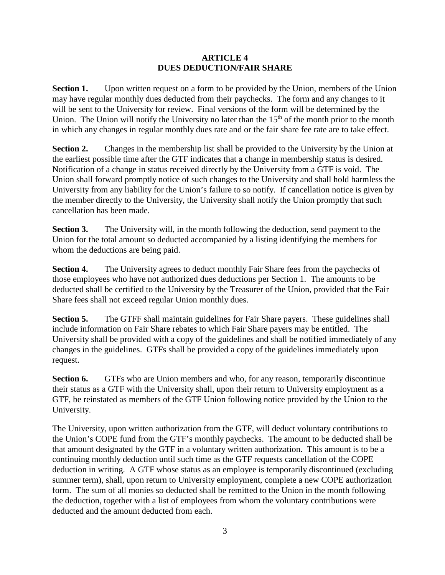## **ARTICLE 4 DUES DEDUCTION/FAIR SHARE**

**Section 1.** Upon written request on a form to be provided by the Union, members of the Union may have regular monthly dues deducted from their paychecks. The form and any changes to it will be sent to the University for review. Final versions of the form will be determined by the Union. The Union will notify the University no later than the  $15<sup>th</sup>$  of the month prior to the month in which any changes in regular monthly dues rate and or the fair share fee rate are to take effect.

**Section 2.** Changes in the membership list shall be provided to the University by the Union at the earliest possible time after the GTF indicates that a change in membership status is desired. Notification of a change in status received directly by the University from a GTF is void. The Union shall forward promptly notice of such changes to the University and shall hold harmless the University from any liability for the Union's failure to so notify. If cancellation notice is given by the member directly to the University, the University shall notify the Union promptly that such cancellation has been made.

**Section 3.** The University will, in the month following the deduction, send payment to the Union for the total amount so deducted accompanied by a listing identifying the members for whom the deductions are being paid.

**Section 4.** The University agrees to deduct monthly Fair Share fees from the paychecks of those employees who have not authorized dues deductions per Section 1. The amounts to be deducted shall be certified to the University by the Treasurer of the Union, provided that the Fair Share fees shall not exceed regular Union monthly dues.

**Section 5.** The GTFF shall maintain guidelines for Fair Share payers. These guidelines shall include information on Fair Share rebates to which Fair Share payers may be entitled. The University shall be provided with a copy of the guidelines and shall be notified immediately of any changes in the guidelines. GTFs shall be provided a copy of the guidelines immediately upon request.

**Section 6.** GTFs who are Union members and who, for any reason, temporarily discontinue their status as a GTF with the University shall, upon their return to University employment as a GTF, be reinstated as members of the GTF Union following notice provided by the Union to the University.

The University, upon written authorization from the GTF, will deduct voluntary contributions to the Union's COPE fund from the GTF's monthly paychecks. The amount to be deducted shall be that amount designated by the GTF in a voluntary written authorization. This amount is to be a continuing monthly deduction until such time as the GTF requests cancellation of the COPE deduction in writing. A GTF whose status as an employee is temporarily discontinued (excluding summer term), shall, upon return to University employment, complete a new COPE authorization form. The sum of all monies so deducted shall be remitted to the Union in the month following the deduction, together with a list of employees from whom the voluntary contributions were deducted and the amount deducted from each.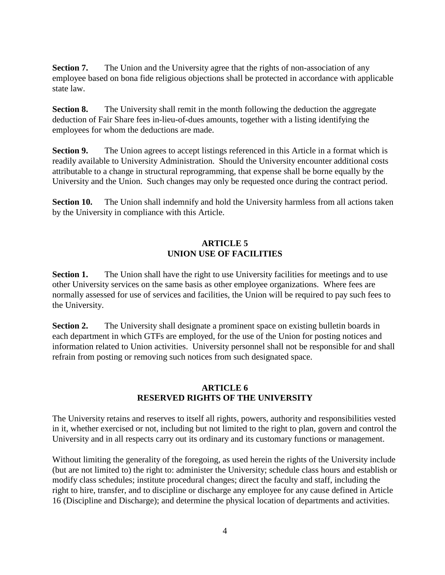**Section 7.** The Union and the University agree that the rights of non-association of any employee based on bona fide religious objections shall be protected in accordance with applicable state law.

**Section 8.** The University shall remit in the month following the deduction the aggregate deduction of Fair Share fees in-lieu-of-dues amounts, together with a listing identifying the employees for whom the deductions are made.

**Section 9.** The Union agrees to accept listings referenced in this Article in a format which is readily available to University Administration. Should the University encounter additional costs attributable to a change in structural reprogramming, that expense shall be borne equally by the University and the Union. Such changes may only be requested once during the contract period.

**Section 10.** The Union shall indemnify and hold the University harmless from all actions taken by the University in compliance with this Article.

## **ARTICLE 5 UNION USE OF FACILITIES**

**Section 1.** The Union shall have the right to use University facilities for meetings and to use other University services on the same basis as other employee organizations. Where fees are normally assessed for use of services and facilities, the Union will be required to pay such fees to the University.

**Section 2.** The University shall designate a prominent space on existing bulletin boards in each department in which GTFs are employed, for the use of the Union for posting notices and information related to Union activities. University personnel shall not be responsible for and shall refrain from posting or removing such notices from such designated space.

## **ARTICLE 6 RESERVED RIGHTS OF THE UNIVERSITY**

The University retains and reserves to itself all rights, powers, authority and responsibilities vested in it, whether exercised or not, including but not limited to the right to plan, govern and control the University and in all respects carry out its ordinary and its customary functions or management.

Without limiting the generality of the foregoing, as used herein the rights of the University include (but are not limited to) the right to: administer the University; schedule class hours and establish or modify class schedules; institute procedural changes; direct the faculty and staff, including the right to hire, transfer, and to discipline or discharge any employee for any cause defined in Article 16 (Discipline and Discharge); and determine the physical location of departments and activities.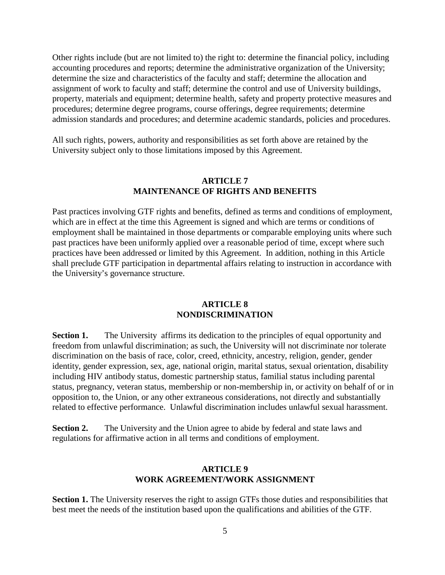Other rights include (but are not limited to) the right to: determine the financial policy, including accounting procedures and reports; determine the administrative organization of the University; determine the size and characteristics of the faculty and staff; determine the allocation and assignment of work to faculty and staff; determine the control and use of University buildings, property, materials and equipment; determine health, safety and property protective measures and procedures; determine degree programs, course offerings, degree requirements; determine admission standards and procedures; and determine academic standards, policies and procedures.

All such rights, powers, authority and responsibilities as set forth above are retained by the University subject only to those limitations imposed by this Agreement.

#### **ARTICLE 7 MAINTENANCE OF RIGHTS AND BENEFITS**

Past practices involving GTF rights and benefits, defined as terms and conditions of employment, which are in effect at the time this Agreement is signed and which are terms or conditions of employment shall be maintained in those departments or comparable employing units where such past practices have been uniformly applied over a reasonable period of time, except where such practices have been addressed or limited by this Agreement. In addition, nothing in this Article shall preclude GTF participation in departmental affairs relating to instruction in accordance with the University's governance structure.

#### **ARTICLE 8 NONDISCRIMINATION**

**Section 1.** The University affirms its dedication to the principles of equal opportunity and freedom from unlawful discrimination; as such, the University will not discriminate nor tolerate discrimination on the basis of race, color, creed, ethnicity, ancestry, religion, gender, gender identity, gender expression, sex, age, national origin, marital status, sexual orientation, disability including HIV antibody status, domestic partnership status, familial status including parental status, pregnancy, veteran status, membership or non-membership in, or activity on behalf of or in opposition to, the Union, or any other extraneous considerations, not directly and substantially related to effective performance. Unlawful discrimination includes unlawful sexual harassment.

**Section 2.** The University and the Union agree to abide by federal and state laws and regulations for affirmative action in all terms and conditions of employment.

## **ARTICLE 9 WORK AGREEMENT/WORK ASSIGNMENT**

**Section 1.** The University reserves the right to assign GTFs those duties and responsibilities that best meet the needs of the institution based upon the qualifications and abilities of the GTF.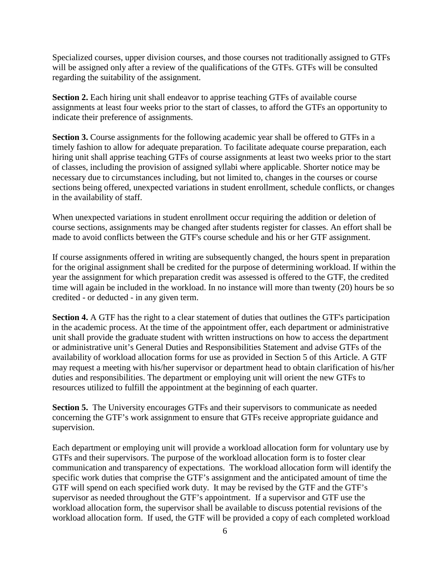Specialized courses, upper division courses, and those courses not traditionally assigned to GTFs will be assigned only after a review of the qualifications of the GTFs. GTFs will be consulted regarding the suitability of the assignment.

**Section 2.** Each hiring unit shall endeavor to apprise teaching GTFs of available course assignments at least four weeks prior to the start of classes, to afford the GTFs an opportunity to indicate their preference of assignments.

**Section 3.** Course assignments for the following academic year shall be offered to GTFs in a timely fashion to allow for adequate preparation. To facilitate adequate course preparation, each hiring unit shall apprise teaching GTFs of course assignments at least two weeks prior to the start of classes, including the provision of assigned syllabi where applicable. Shorter notice may be necessary due to circumstances including, but not limited to, changes in the courses or course sections being offered, unexpected variations in student enrollment, schedule conflicts, or changes in the availability of staff.

When unexpected variations in student enrollment occur requiring the addition or deletion of course sections, assignments may be changed after students register for classes. An effort shall be made to avoid conflicts between the GTF's course schedule and his or her GTF assignment.

If course assignments offered in writing are subsequently changed, the hours spent in preparation for the original assignment shall be credited for the purpose of determining workload. If within the year the assignment for which preparation credit was assessed is offered to the GTF, the credited time will again be included in the workload. In no instance will more than twenty (20) hours be so credited - or deducted - in any given term.

**Section 4.** A GTF has the right to a clear statement of duties that outlines the GTF's participation in the academic process. At the time of the appointment offer, each department or administrative unit shall provide the graduate student with written instructions on how to access the department or administrative unit's General Duties and Responsibilities Statement and advise GTFs of the availability of workload allocation forms for use as provided in Section 5 of this Article. A GTF may request a meeting with his/her supervisor or department head to obtain clarification of his/her duties and responsibilities. The department or employing unit will orient the new GTFs to resources utilized to fulfill the appointment at the beginning of each quarter.

**Section 5.** The University encourages GTFs and their supervisors to communicate as needed concerning the GTF's work assignment to ensure that GTFs receive appropriate guidance and supervision.

Each department or employing unit will provide a workload allocation form for voluntary use by GTFs and their supervisors. The purpose of the workload allocation form is to foster clear communication and transparency of expectations. The workload allocation form will identify the specific work duties that comprise the GTF's assignment and the anticipated amount of time the GTF will spend on each specified work duty. It may be revised by the GTF and the GTF's supervisor as needed throughout the GTF's appointment. If a supervisor and GTF use the workload allocation form, the supervisor shall be available to discuss potential revisions of the workload allocation form. If used, the GTF will be provided a copy of each completed workload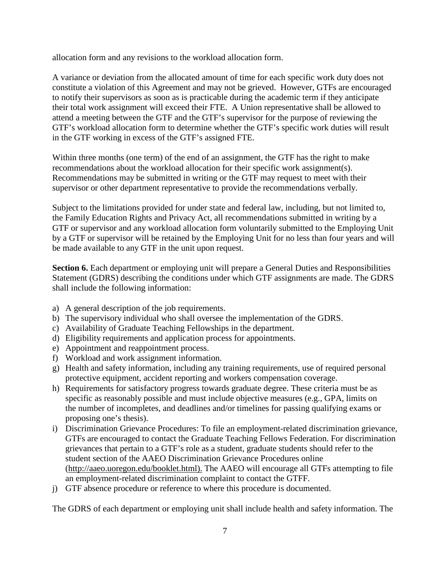allocation form and any revisions to the workload allocation form.

A variance or deviation from the allocated amount of time for each specific work duty does not constitute a violation of this Agreement and may not be grieved. However, GTFs are encouraged to notify their supervisors as soon as is practicable during the academic term if they anticipate their total work assignment will exceed their FTE. A Union representative shall be allowed to attend a meeting between the GTF and the GTF's supervisor for the purpose of reviewing the GTF's workload allocation form to determine whether the GTF's specific work duties will result in the GTF working in excess of the GTF's assigned FTE.

Within three months (one term) of the end of an assignment, the GTF has the right to make recommendations about the workload allocation for their specific work assignment(s). Recommendations may be submitted in writing or the GTF may request to meet with their supervisor or other department representative to provide the recommendations verbally.

Subject to the limitations provided for under state and federal law, including, but not limited to, the Family Education Rights and Privacy Act, all recommendations submitted in writing by a GTF or supervisor and any workload allocation form voluntarily submitted to the Employing Unit by a GTF or supervisor will be retained by the Employing Unit for no less than four years and will be made available to any GTF in the unit upon request.

Section 6. Each department or employing unit will prepare a General Duties and Responsibilities Statement (GDRS) describing the conditions under which GTF assignments are made. The GDRS shall include the following information:

- a) A general description of the job requirements.
- b) The supervisory individual who shall oversee the implementation of the GDRS.
- c) Availability of Graduate Teaching Fellowships in the department.
- d) Eligibility requirements and application process for appointments.
- e) Appointment and reappointment process.
- f) Workload and work assignment information.
- g) Health and safety information, including any training requirements, use of required personal protective equipment, accident reporting and workers compensation coverage.
- h) Requirements for satisfactory progress towards graduate degree. These criteria must be as specific as reasonably possible and must include objective measures (e.g., GPA, limits on the number of incompletes, and deadlines and/or timelines for passing qualifying exams or proposing one's thesis).
- i) Discrimination Grievance Procedures: To file an employment-related discrimination grievance, GTFs are encouraged to contact the Graduate Teaching Fellows Federation. For discrimination grievances that pertain to a GTF's role as a student, graduate students should refer to the student section of the AAEO Discrimination Grievance Procedures online (http://aaeo.uoregon.edu/booklet.html). The AAEO will encourage all GTFs attempting to file an employment-related discrimination complaint to contact the GTFF.
- j) GTF absence procedure or reference to where this procedure is documented.

The GDRS of each department or employing unit shall include health and safety information. The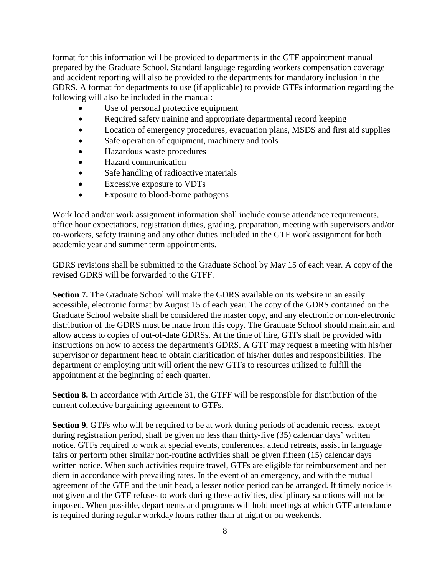format for this information will be provided to departments in the GTF appointment manual prepared by the Graduate School. Standard language regarding workers compensation coverage and accident reporting will also be provided to the departments for mandatory inclusion in the GDRS. A format for departments to use (if applicable) to provide GTFs information regarding the following will also be included in the manual:

- Use of personal protective equipment
- Required safety training and appropriate departmental record keeping
- Location of emergency procedures, evacuation plans, MSDS and first aid supplies
- Safe operation of equipment, machinery and tools
- Hazardous waste procedures
- Hazard communication
- Safe handling of radioactive materials
- Excessive exposure to VDTs
- Exposure to blood-borne pathogens

Work load and/or work assignment information shall include course attendance requirements, office hour expectations, registration duties, grading, preparation, meeting with supervisors and/or co-workers, safety training and any other duties included in the GTF work assignment for both academic year and summer term appointments.

GDRS revisions shall be submitted to the Graduate School by May 15 of each year. A copy of the revised GDRS will be forwarded to the GTFF.

**Section 7.** The Graduate School will make the GDRS available on its website in an easily accessible, electronic format by August 15 of each year. The copy of the GDRS contained on the Graduate School website shall be considered the master copy, and any electronic or non-electronic distribution of the GDRS must be made from this copy. The Graduate School should maintain and allow access to copies of out-of-date GDRSs. At the time of hire, GTFs shall be provided with instructions on how to access the department's GDRS. A GTF may request a meeting with his/her supervisor or department head to obtain clarification of his/her duties and responsibilities. The department or employing unit will orient the new GTFs to resources utilized to fulfill the appointment at the beginning of each quarter.

**Section 8.** In accordance with Article 31, the GTFF will be responsible for distribution of the current collective bargaining agreement to GTFs.

**Section 9.** GTFs who will be required to be at work during periods of academic recess, except during registration period, shall be given no less than thirty-five (35) calendar days' written notice. GTFs required to work at special events, conferences, attend retreats, assist in language fairs or perform other similar non-routine activities shall be given fifteen (15) calendar days written notice. When such activities require travel, GTFs are eligible for reimbursement and per diem in accordance with prevailing rates. In the event of an emergency, and with the mutual agreement of the GTF and the unit head, a lesser notice period can be arranged. If timely notice is not given and the GTF refuses to work during these activities, disciplinary sanctions will not be imposed. When possible, departments and programs will hold meetings at which GTF attendance is required during regular workday hours rather than at night or on weekends.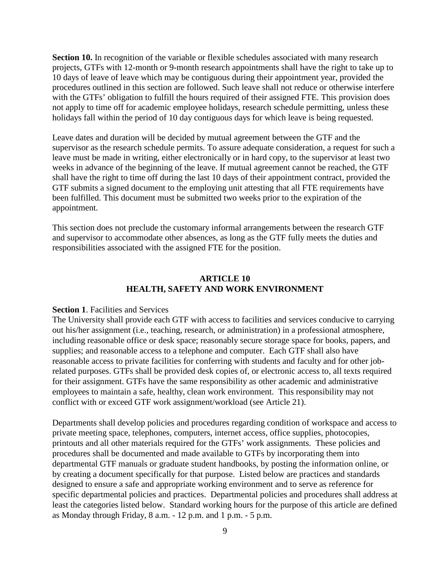**Section 10.** In recognition of the variable or flexible schedules associated with many research projects, GTFs with 12-month or 9-month research appointments shall have the right to take up to 10 days of leave of leave which may be contiguous during their appointment year, provided the procedures outlined in this section are followed. Such leave shall not reduce or otherwise interfere with the GTFs' obligation to fulfill the hours required of their assigned FTE. This provision does not apply to time off for academic employee holidays, research schedule permitting, unless these holidays fall within the period of 10 day contiguous days for which leave is being requested.

Leave dates and duration will be decided by mutual agreement between the GTF and the supervisor as the research schedule permits. To assure adequate consideration, a request for such a leave must be made in writing, either electronically or in hard copy, to the supervisor at least two weeks in advance of the beginning of the leave. If mutual agreement cannot be reached, the GTF shall have the right to time off during the last 10 days of their appointment contract, provided the GTF submits a signed document to the employing unit attesting that all FTE requirements have been fulfilled. This document must be submitted two weeks prior to the expiration of the appointment.

This section does not preclude the customary informal arrangements between the research GTF and supervisor to accommodate other absences, as long as the GTF fully meets the duties and responsibilities associated with the assigned FTE for the position.

#### **ARTICLE 10 HEALTH, SAFETY AND WORK ENVIRONMENT**

#### **Section 1**. Facilities and Services

The University shall provide each GTF with access to facilities and services conducive to carrying out his/her assignment (i.e., teaching, research, or administration) in a professional atmosphere, including reasonable office or desk space; reasonably secure storage space for books, papers, and supplies; and reasonable access to a telephone and computer. Each GTF shall also have reasonable access to private facilities for conferring with students and faculty and for other jobrelated purposes. GTFs shall be provided desk copies of, or electronic access to, all texts required for their assignment. GTFs have the same responsibility as other academic and administrative employees to maintain a safe, healthy, clean work environment. This responsibility may not conflict with or exceed GTF work assignment/workload (see Article 21).

Departments shall develop policies and procedures regarding condition of workspace and access to private meeting space, telephones, computers, internet access, office supplies, photocopies, printouts and all other materials required for the GTFs' work assignments. These policies and procedures shall be documented and made available to GTFs by incorporating them into departmental GTF manuals or graduate student handbooks, by posting the information online, or by creating a document specifically for that purpose. Listed below are practices and standards designed to ensure a safe and appropriate working environment and to serve as reference for specific departmental policies and practices. Departmental policies and procedures shall address at least the categories listed below. Standard working hours for the purpose of this article are defined as Monday through Friday, 8 a.m. - 12 p.m. and 1 p.m. - 5 p.m.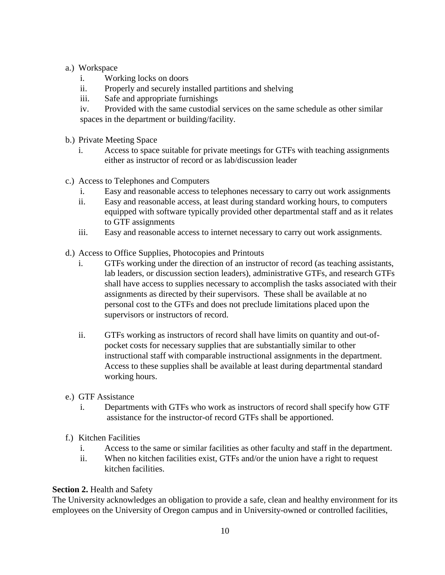## a.) Workspace

- i. Working locks on doors
- ii. Properly and securely installed partitions and shelving
- iii. Safe and appropriate furnishings

iv. Provided with the same custodial services on the same schedule as other similar spaces in the department or building/facility.

- b.) Private Meeting Space
	- i. Access to space suitable for private meetings for GTFs with teaching assignments either as instructor of record or as lab/discussion leader
- c.) Access to Telephones and Computers
	- i. Easy and reasonable access to telephones necessary to carry out work assignments
	- ii. Easy and reasonable access, at least during standard working hours, to computers equipped with software typically provided other departmental staff and as it relates to GTF assignments
	- iii. Easy and reasonable access to internet necessary to carry out work assignments.
- d.) Access to Office Supplies, Photocopies and Printouts
	- i. GTFs working under the direction of an instructor of record (as teaching assistants, lab leaders, or discussion section leaders), administrative GTFs, and research GTFs shall have access to supplies necessary to accomplish the tasks associated with their assignments as directed by their supervisors. These shall be available at no personal cost to the GTFs and does not preclude limitations placed upon the supervisors or instructors of record.
	- ii. GTFs working as instructors of record shall have limits on quantity and out-ofpocket costs for necessary supplies that are substantially similar to other instructional staff with comparable instructional assignments in the department. Access to these supplies shall be available at least during departmental standard working hours.
- e.) GTF Assistance
	- i. Departments with GTFs who work as instructors of record shall specify how GTF assistance for the instructor-of record GTFs shall be apportioned.
- f.) Kitchen Facilities
	- i. Access to the same or similar facilities as other faculty and staff in the department.
	- ii. When no kitchen facilities exist, GTFs and/or the union have a right to request kitchen facilities.

#### **Section 2.** Health and Safety

The University acknowledges an obligation to provide a safe, clean and healthy environment for its employees on the University of Oregon campus and in University-owned or controlled facilities,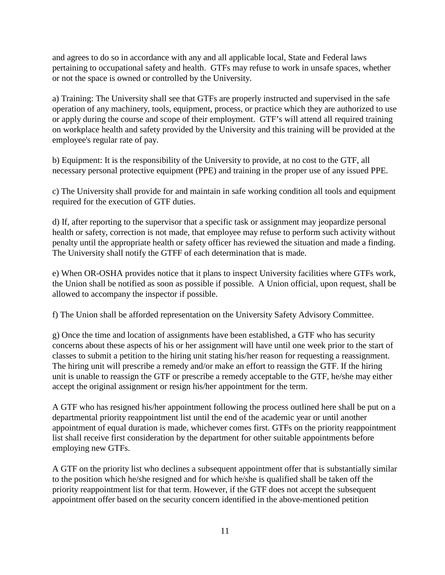and agrees to do so in accordance with any and all applicable local, State and Federal laws pertaining to occupational safety and health. GTFs may refuse to work in unsafe spaces, whether or not the space is owned or controlled by the University.

a) Training: The University shall see that GTFs are properly instructed and supervised in the safe operation of any machinery, tools, equipment, process, or practice which they are authorized to use or apply during the course and scope of their employment. GTF's will attend all required training on workplace health and safety provided by the University and this training will be provided at the employee's regular rate of pay.

b) Equipment: It is the responsibility of the University to provide, at no cost to the GTF, all necessary personal protective equipment (PPE) and training in the proper use of any issued PPE.

c) The University shall provide for and maintain in safe working condition all tools and equipment required for the execution of GTF duties.

d) If, after reporting to the supervisor that a specific task or assignment may jeopardize personal health or safety, correction is not made, that employee may refuse to perform such activity without penalty until the appropriate health or safety officer has reviewed the situation and made a finding. The University shall notify the GTFF of each determination that is made.

e) When OR-OSHA provides notice that it plans to inspect University facilities where GTFs work, the Union shall be notified as soon as possible if possible. A Union official, upon request, shall be allowed to accompany the inspector if possible.

f) The Union shall be afforded representation on the University Safety Advisory Committee.

g) Once the time and location of assignments have been established, a GTF who has security concerns about these aspects of his or her assignment will have until one week prior to the start of classes to submit a petition to the hiring unit stating his/her reason for requesting a reassignment. The hiring unit will prescribe a remedy and/or make an effort to reassign the GTF. If the hiring unit is unable to reassign the GTF or prescribe a remedy acceptable to the GTF, he/she may either accept the original assignment or resign his/her appointment for the term.

A GTF who has resigned his/her appointment following the process outlined here shall be put on a departmental priority reappointment list until the end of the academic year or until another appointment of equal duration is made, whichever comes first. GTFs on the priority reappointment list shall receive first consideration by the department for other suitable appointments before employing new GTFs.

A GTF on the priority list who declines a subsequent appointment offer that is substantially similar to the position which he/she resigned and for which he/she is qualified shall be taken off the priority reappointment list for that term. However, if the GTF does not accept the subsequent appointment offer based on the security concern identified in the above-mentioned petition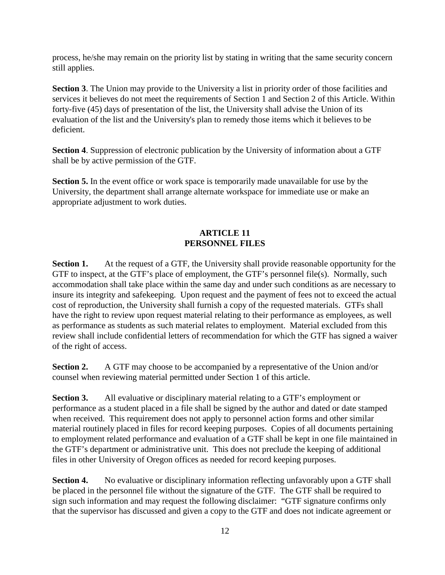process, he/she may remain on the priority list by stating in writing that the same security concern still applies.

**Section 3**. The Union may provide to the University a list in priority order of those facilities and services it believes do not meet the requirements of Section 1 and Section 2 of this Article. Within forty-five (45) days of presentation of the list, the University shall advise the Union of its evaluation of the list and the University's plan to remedy those items which it believes to be deficient.

**Section 4**. Suppression of electronic publication by the University of information about a GTF shall be by active permission of the GTF.

**Section 5.** In the event office or work space is temporarily made unavailable for use by the University, the department shall arrange alternate workspace for immediate use or make an appropriate adjustment to work duties.

## **ARTICLE 11 PERSONNEL FILES**

**Section 1.** At the request of a GTF, the University shall provide reasonable opportunity for the GTF to inspect, at the GTF's place of employment, the GTF's personnel file(s). Normally, such accommodation shall take place within the same day and under such conditions as are necessary to insure its integrity and safekeeping. Upon request and the payment of fees not to exceed the actual cost of reproduction, the University shall furnish a copy of the requested materials. GTFs shall have the right to review upon request material relating to their performance as employees, as well as performance as students as such material relates to employment. Material excluded from this review shall include confidential letters of recommendation for which the GTF has signed a waiver of the right of access.

**Section 2.** A GTF may choose to be accompanied by a representative of the Union and/or counsel when reviewing material permitted under Section 1 of this article.

**Section 3.** All evaluative or disciplinary material relating to a GTF's employment or performance as a student placed in a file shall be signed by the author and dated or date stamped when received. This requirement does not apply to personnel action forms and other similar material routinely placed in files for record keeping purposes. Copies of all documents pertaining to employment related performance and evaluation of a GTF shall be kept in one file maintained in the GTF's department or administrative unit. This does not preclude the keeping of additional files in other University of Oregon offices as needed for record keeping purposes.

**Section 4.** No evaluative or disciplinary information reflecting unfavorably upon a GTF shall be placed in the personnel file without the signature of the GTF. The GTF shall be required to sign such information and may request the following disclaimer: "GTF signature confirms only that the supervisor has discussed and given a copy to the GTF and does not indicate agreement or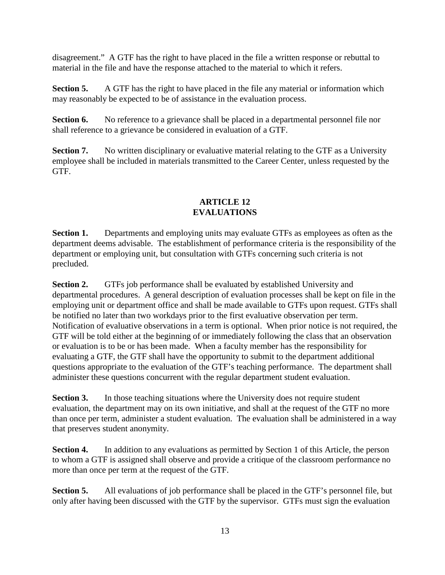disagreement." A GTF has the right to have placed in the file a written response or rebuttal to material in the file and have the response attached to the material to which it refers.

**Section 5.** A GTF has the right to have placed in the file any material or information which may reasonably be expected to be of assistance in the evaluation process.

**Section 6.** No reference to a grievance shall be placed in a departmental personnel file nor shall reference to a grievance be considered in evaluation of a GTF.

**Section 7.** No written disciplinary or evaluative material relating to the GTF as a University employee shall be included in materials transmitted to the Career Center, unless requested by the GTF.

## **ARTICLE 12 EVALUATIONS**

**Section 1.** Departments and employing units may evaluate GTFs as employees as often as the department deems advisable. The establishment of performance criteria is the responsibility of the department or employing unit, but consultation with GTFs concerning such criteria is not precluded.

**Section 2.** GTFs job performance shall be evaluated by established University and departmental procedures. A general description of evaluation processes shall be kept on file in the employing unit or department office and shall be made available to GTFs upon request. GTFs shall be notified no later than two workdays prior to the first evaluative observation per term. Notification of evaluative observations in a term is optional. When prior notice is not required, the GTF will be told either at the beginning of or immediately following the class that an observation or evaluation is to be or has been made. When a faculty member has the responsibility for evaluating a GTF, the GTF shall have the opportunity to submit to the department additional questions appropriate to the evaluation of the GTF's teaching performance. The department shall administer these questions concurrent with the regular department student evaluation.

**Section 3.** In those teaching situations where the University does not require student evaluation, the department may on its own initiative, and shall at the request of the GTF no more than once per term, administer a student evaluation. The evaluation shall be administered in a way that preserves student anonymity.

**Section 4.** In addition to any evaluations as permitted by Section 1 of this Article, the person to whom a GTF is assigned shall observe and provide a critique of the classroom performance no more than once per term at the request of the GTF.

**Section 5.** All evaluations of job performance shall be placed in the GTF's personnel file, but only after having been discussed with the GTF by the supervisor. GTFs must sign the evaluation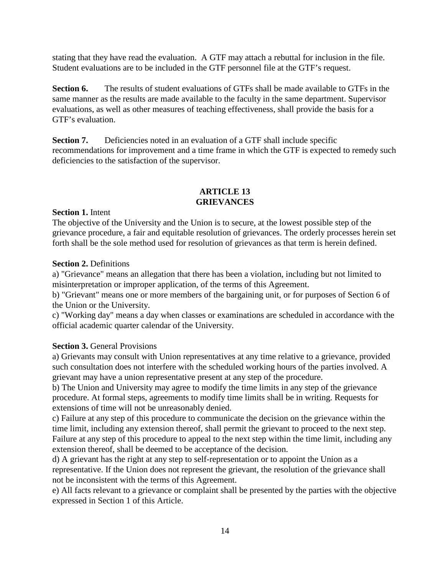stating that they have read the evaluation. A GTF may attach a rebuttal for inclusion in the file. Student evaluations are to be included in the GTF personnel file at the GTF's request.

**Section 6.** The results of student evaluations of GTFs shall be made available to GTFs in the same manner as the results are made available to the faculty in the same department. Supervisor evaluations, as well as other measures of teaching effectiveness, shall provide the basis for a GTF's evaluation.

**Section 7.** Deficiencies noted in an evaluation of a GTF shall include specific recommendations for improvement and a time frame in which the GTF is expected to remedy such deficiencies to the satisfaction of the supervisor.

#### **ARTICLE 13 GRIEVANCES**

**Section 1.** Intent

The objective of the University and the Union is to secure, at the lowest possible step of the grievance procedure, a fair and equitable resolution of grievances. The orderly processes herein set forth shall be the sole method used for resolution of grievances as that term is herein defined.

#### **Section 2.** Definitions

a) "Grievance" means an allegation that there has been a violation, including but not limited to misinterpretation or improper application, of the terms of this Agreement.

b) "Grievant" means one or more members of the bargaining unit, or for purposes of Section 6 of the Union or the University.

c) "Working day" means a day when classes or examinations are scheduled in accordance with the official academic quarter calendar of the University.

#### **Section 3.** General Provisions

a) Grievants may consult with Union representatives at any time relative to a grievance, provided such consultation does not interfere with the scheduled working hours of the parties involved. A grievant may have a union representative present at any step of the procedure.

b) The Union and University may agree to modify the time limits in any step of the grievance procedure. At formal steps, agreements to modify time limits shall be in writing. Requests for extensions of time will not be unreasonably denied.

c) Failure at any step of this procedure to communicate the decision on the grievance within the time limit, including any extension thereof, shall permit the grievant to proceed to the next step. Failure at any step of this procedure to appeal to the next step within the time limit, including any extension thereof, shall be deemed to be acceptance of the decision.

d) A grievant has the right at any step to self-representation or to appoint the Union as a representative. If the Union does not represent the grievant, the resolution of the grievance shall not be inconsistent with the terms of this Agreement.

e) All facts relevant to a grievance or complaint shall be presented by the parties with the objective expressed in Section 1 of this Article.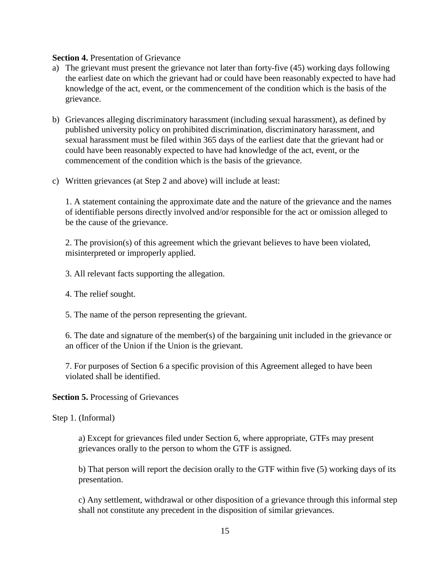#### **Section 4.** Presentation of Grievance

- a) The grievant must present the grievance not later than forty-five (45) working days following the earliest date on which the grievant had or could have been reasonably expected to have had knowledge of the act, event, or the commencement of the condition which is the basis of the grievance.
- b) Grievances alleging discriminatory harassment (including sexual harassment), as defined by published university policy on prohibited discrimination, discriminatory harassment, and sexual harassment must be filed within 365 days of the earliest date that the grievant had or could have been reasonably expected to have had knowledge of the act, event, or the commencement of the condition which is the basis of the grievance.
- c) Written grievances (at Step 2 and above) will include at least:

1. A statement containing the approximate date and the nature of the grievance and the names of identifiable persons directly involved and/or responsible for the act or omission alleged to be the cause of the grievance.

2. The provision(s) of this agreement which the grievant believes to have been violated, misinterpreted or improperly applied.

3. All relevant facts supporting the allegation.

- 4. The relief sought.
- 5. The name of the person representing the grievant.

6. The date and signature of the member(s) of the bargaining unit included in the grievance or an officer of the Union if the Union is the grievant.

7. For purposes of Section 6 a specific provision of this Agreement alleged to have been violated shall be identified.

**Section 5.** Processing of Grievances

Step 1. (Informal)

a) Except for grievances filed under Section 6, where appropriate, GTFs may present grievances orally to the person to whom the GTF is assigned.

b) That person will report the decision orally to the GTF within five (5) working days of its presentation.

c) Any settlement, withdrawal or other disposition of a grievance through this informal step shall not constitute any precedent in the disposition of similar grievances.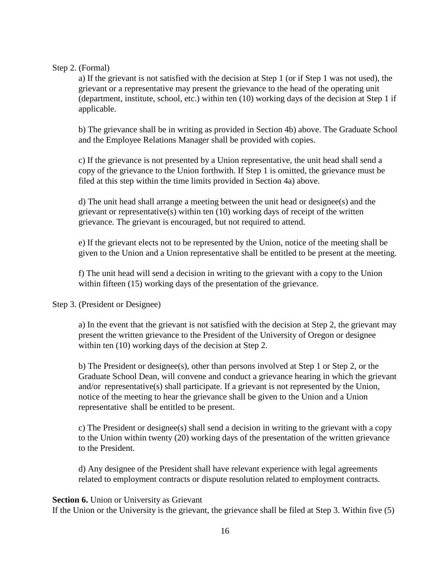#### Step 2. (Formal)

a) If the grievant is not satisfied with the decision at Step 1 (or if Step 1 was not used), the grievant or a representative may present the grievance to the head of the operating unit (department, institute, school, etc.) within ten (10) working days of the decision at Step 1 if applicable.

b) The grievance shall be in writing as provided in Section 4b) above. The Graduate School and the Employee Relations Manager shall be provided with copies.

c) If the grievance is not presented by a Union representative, the unit head shall send a copy of the grievance to the Union forthwith. If Step 1 is omitted, the grievance must be filed at this step within the time limits provided in Section 4a) above.

d) The unit head shall arrange a meeting between the unit head or designee(s) and the grievant or representative(s) within ten (10) working days of receipt of the written grievance. The grievant is encouraged, but not required to attend.

e) If the grievant elects not to be represented by the Union, notice of the meeting shall be given to the Union and a Union representative shall be entitled to be present at the meeting.

f) The unit head will send a decision in writing to the grievant with a copy to the Union within fifteen (15) working days of the presentation of the grievance.

#### Step 3. (President or Designee)

a) In the event that the grievant is not satisfied with the decision at Step 2, the grievant may present the written grievance to the President of the University of Oregon or designee within ten (10) working days of the decision at Step 2.

b) The President or designee(s), other than persons involved at Step 1 or Step 2, or the Graduate School Dean, will convene and conduct a grievance hearing in which the grievant and/or representative(s) shall participate. If a grievant is not represented by the Union, notice of the meeting to hear the grievance shall be given to the Union and a Union representative shall be entitled to be present.

c) The President or designee(s) shall send a decision in writing to the grievant with a copy to the Union within twenty (20) working days of the presentation of the written grievance to the President.

d) Any designee of the President shall have relevant experience with legal agreements related to employment contracts or dispute resolution related to employment contracts.

#### **Section 6.** Union or University as Grievant

If the Union or the University is the grievant, the grievance shall be filed at Step 3. Within five (5)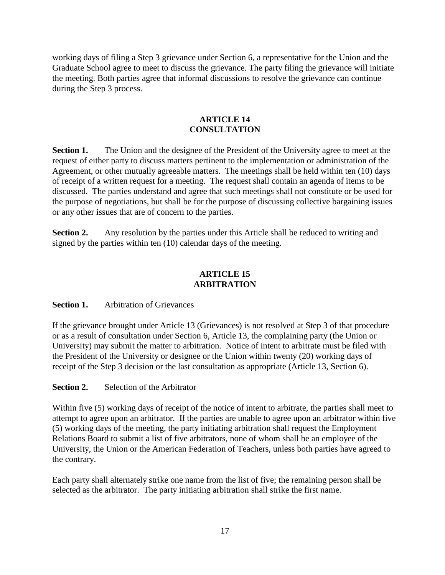working days of filing a Step 3 grievance under Section 6, a representative for the Union and the Graduate School agree to meet to discuss the grievance. The party filing the grievance will initiate the meeting. Both parties agree that informal discussions to resolve the grievance can continue during the Step 3 process.

#### **ARTICLE 14 CONSULTATION**

**Section 1.** The Union and the designee of the President of the University agree to meet at the request of either party to discuss matters pertinent to the implementation or administration of the Agreement, or other mutually agreeable matters. The meetings shall be held within ten (10) days of receipt of a written request for a meeting. The request shall contain an agenda of items to be discussed. The parties understand and agree that such meetings shall not constitute or be used for the purpose of negotiations, but shall be for the purpose of discussing collective bargaining issues or any other issues that are of concern to the parties.

**Section 2.** Any resolution by the parties under this Article shall be reduced to writing and signed by the parties within ten (10) calendar days of the meeting.

## **ARTICLE 15 ARBITRATION**

#### **Section 1.** Arbitration of Grievances

If the grievance brought under Article 13 (Grievances) is not resolved at Step 3 of that procedure or as a result of consultation under Section 6, Article 13, the complaining party (the Union or University) may submit the matter to arbitration. Notice of intent to arbitrate must be filed with the President of the University or designee or the Union within twenty (20) working days of receipt of the Step 3 decision or the last consultation as appropriate (Article 13, Section 6).

**Section 2.** Selection of the Arbitrator

Within five (5) working days of receipt of the notice of intent to arbitrate, the parties shall meet to attempt to agree upon an arbitrator. If the parties are unable to agree upon an arbitrator within five (5) working days of the meeting, the party initiating arbitration shall request the Employment Relations Board to submit a list of five arbitrators, none of whom shall be an employee of the University, the Union or the American Federation of Teachers, unless both parties have agreed to the contrary.

Each party shall alternately strike one name from the list of five; the remaining person shall be selected as the arbitrator. The party initiating arbitration shall strike the first name.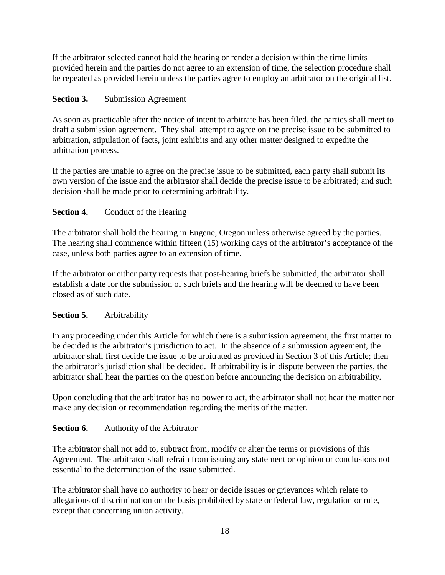If the arbitrator selected cannot hold the hearing or render a decision within the time limits provided herein and the parties do not agree to an extension of time, the selection procedure shall be repeated as provided herein unless the parties agree to employ an arbitrator on the original list.

## **Section 3.** Submission Agreement

As soon as practicable after the notice of intent to arbitrate has been filed, the parties shall meet to draft a submission agreement. They shall attempt to agree on the precise issue to be submitted to arbitration, stipulation of facts, joint exhibits and any other matter designed to expedite the arbitration process.

If the parties are unable to agree on the precise issue to be submitted, each party shall submit its own version of the issue and the arbitrator shall decide the precise issue to be arbitrated; and such decision shall be made prior to determining arbitrability.

## **Section 4.** Conduct of the Hearing

The arbitrator shall hold the hearing in Eugene, Oregon unless otherwise agreed by the parties. The hearing shall commence within fifteen (15) working days of the arbitrator's acceptance of the case, unless both parties agree to an extension of time.

If the arbitrator or either party requests that post-hearing briefs be submitted, the arbitrator shall establish a date for the submission of such briefs and the hearing will be deemed to have been closed as of such date.

## **Section 5.** Arbitrability

In any proceeding under this Article for which there is a submission agreement, the first matter to be decided is the arbitrator's jurisdiction to act. In the absence of a submission agreement, the arbitrator shall first decide the issue to be arbitrated as provided in Section 3 of this Article; then the arbitrator's jurisdiction shall be decided. If arbitrability is in dispute between the parties, the arbitrator shall hear the parties on the question before announcing the decision on arbitrability.

Upon concluding that the arbitrator has no power to act, the arbitrator shall not hear the matter nor make any decision or recommendation regarding the merits of the matter.

## **Section 6.** Authority of the Arbitrator

The arbitrator shall not add to, subtract from, modify or alter the terms or provisions of this Agreement. The arbitrator shall refrain from issuing any statement or opinion or conclusions not essential to the determination of the issue submitted.

The arbitrator shall have no authority to hear or decide issues or grievances which relate to allegations of discrimination on the basis prohibited by state or federal law, regulation or rule, except that concerning union activity.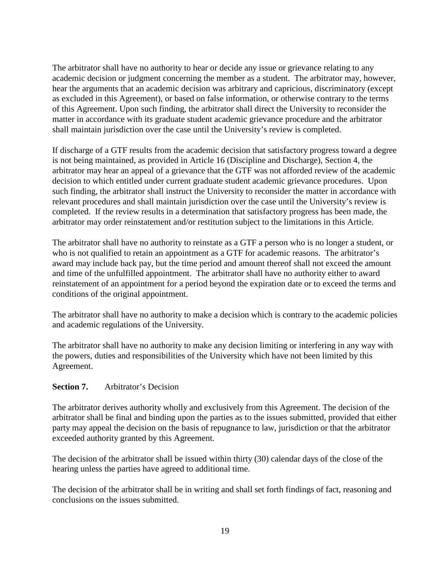The arbitrator shall have no authority to hear or decide any issue or grievance relating to any academic decision or judgment concerning the member as a student. The arbitrator may, however, hear the arguments that an academic decision was arbitrary and capricious, discriminatory (except as excluded in this Agreement), or based on false information, or otherwise contrary to the terms of this Agreement. Upon such finding, the arbitrator shall direct the University to reconsider the matter in accordance with its graduate student academic grievance procedure and the arbitrator shall maintain jurisdiction over the case until the University's review is completed.

If discharge of a GTF results from the academic decision that satisfactory progress toward a degree is not being maintained, as provided in Article 16 (Discipline and Discharge), Section 4, the arbitrator may hear an appeal of a grievance that the GTF was not afforded review of the academic decision to which entitled under current graduate student academic grievance procedures. Upon such finding, the arbitrator shall instruct the University to reconsider the matter in accordance with relevant procedures and shall maintain jurisdiction over the case until the University's review is completed. If the review results in a determination that satisfactory progress has been made, the arbitrator may order reinstatement and/or restitution subject to the limitations in this Article.

The arbitrator shall have no authority to reinstate as a GTF a person who is no longer a student, or who is not qualified to retain an appointment as a GTF for academic reasons. The arbitrator's award may include back pay, but the time period and amount thereof shall not exceed the amount and time of the unfulfilled appointment. The arbitrator shall have no authority either to award reinstatement of an appointment for a period beyond the expiration date or to exceed the terms and conditions of the original appointment.

The arbitrator shall have no authority to make a decision which is contrary to the academic policies and academic regulations of the University.

The arbitrator shall have no authority to make any decision limiting or interfering in any way with the powers, duties and responsibilities of the University which have not been limited by this Agreement.

## **Section 7.** Arbitrator's Decision

The arbitrator derives authority wholly and exclusively from this Agreement. The decision of the arbitrator shall be final and binding upon the parties as to the issues submitted, provided that either party may appeal the decision on the basis of repugnance to law, jurisdiction or that the arbitrator exceeded authority granted by this Agreement.

The decision of the arbitrator shall be issued within thirty (30) calendar days of the close of the hearing unless the parties have agreed to additional time.

The decision of the arbitrator shall be in writing and shall set forth findings of fact, reasoning and conclusions on the issues submitted.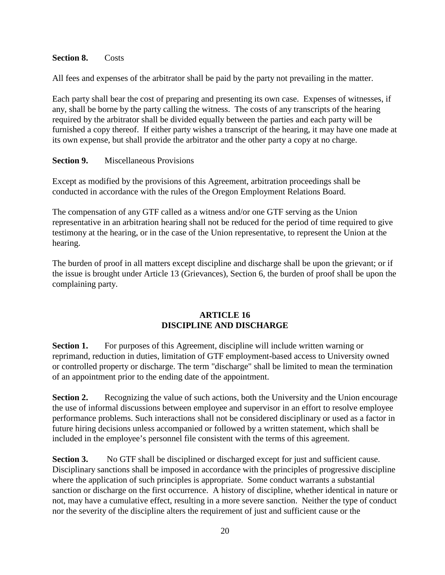#### **Section 8.** Costs

All fees and expenses of the arbitrator shall be paid by the party not prevailing in the matter.

Each party shall bear the cost of preparing and presenting its own case. Expenses of witnesses, if any, shall be borne by the party calling the witness. The costs of any transcripts of the hearing required by the arbitrator shall be divided equally between the parties and each party will be furnished a copy thereof. If either party wishes a transcript of the hearing, it may have one made at its own expense, but shall provide the arbitrator and the other party a copy at no charge.

#### **Section 9.** Miscellaneous Provisions

Except as modified by the provisions of this Agreement, arbitration proceedings shall be conducted in accordance with the rules of the Oregon Employment Relations Board.

The compensation of any GTF called as a witness and/or one GTF serving as the Union representative in an arbitration hearing shall not be reduced for the period of time required to give testimony at the hearing, or in the case of the Union representative, to represent the Union at the hearing.

The burden of proof in all matters except discipline and discharge shall be upon the grievant; or if the issue is brought under Article 13 (Grievances), Section 6, the burden of proof shall be upon the complaining party.

#### **ARTICLE 16 DISCIPLINE AND DISCHARGE**

**Section 1.** For purposes of this Agreement, discipline will include written warning or reprimand, reduction in duties, limitation of GTF employment-based access to University owned or controlled property or discharge. The term "discharge" shall be limited to mean the termination of an appointment prior to the ending date of the appointment.

**Section 2.** Recognizing the value of such actions, both the University and the Union encourage the use of informal discussions between employee and supervisor in an effort to resolve employee performance problems. Such interactions shall not be considered disciplinary or used as a factor in future hiring decisions unless accompanied or followed by a written statement, which shall be included in the employee's personnel file consistent with the terms of this agreement.

**Section 3.** No GTF shall be disciplined or discharged except for just and sufficient cause. Disciplinary sanctions shall be imposed in accordance with the principles of progressive discipline where the application of such principles is appropriate. Some conduct warrants a substantial sanction or discharge on the first occurrence. A history of discipline, whether identical in nature or not, may have a cumulative effect, resulting in a more severe sanction. Neither the type of conduct nor the severity of the discipline alters the requirement of just and sufficient cause or the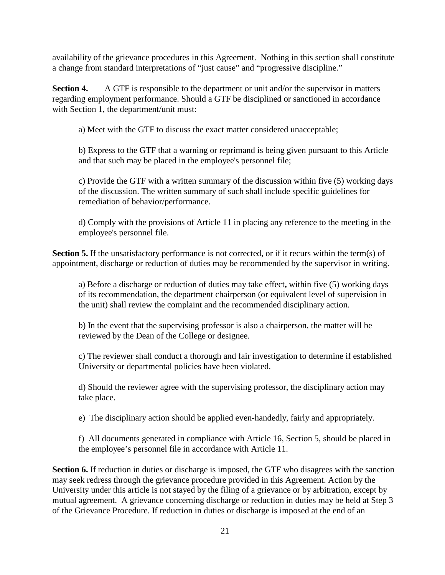availability of the grievance procedures in this Agreement. Nothing in this section shall constitute a change from standard interpretations of "just cause" and "progressive discipline."

**Section 4.** A GTF is responsible to the department or unit and/or the supervisor in matters regarding employment performance. Should a GTF be disciplined or sanctioned in accordance with Section 1, the department/unit must:

a) Meet with the GTF to discuss the exact matter considered unacceptable;

b) Express to the GTF that a warning or reprimand is being given pursuant to this Article and that such may be placed in the employee's personnel file;

c) Provide the GTF with a written summary of the discussion within five (5) working days of the discussion. The written summary of such shall include specific guidelines for remediation of behavior/performance.

d) Comply with the provisions of Article 11 in placing any reference to the meeting in the employee's personnel file.

**Section 5.** If the unsatisfactory performance is not corrected, or if it recurs within the term(s) of appointment, discharge or reduction of duties may be recommended by the supervisor in writing.

a) Before a discharge or reduction of duties may take effect**,** within five (5) working days of its recommendation, the department chairperson (or equivalent level of supervision in the unit) shall review the complaint and the recommended disciplinary action.

b) In the event that the supervising professor is also a chairperson, the matter will be reviewed by the Dean of the College or designee.

c) The reviewer shall conduct a thorough and fair investigation to determine if established University or departmental policies have been violated.

d) Should the reviewer agree with the supervising professor, the disciplinary action may take place.

e) The disciplinary action should be applied even-handedly, fairly and appropriately.

f) All documents generated in compliance with Article 16, Section 5, should be placed in the employee's personnel file in accordance with Article 11.

Section 6. If reduction in duties or discharge is imposed, the GTF who disagrees with the sanction may seek redress through the grievance procedure provided in this Agreement. Action by the University under this article is not stayed by the filing of a grievance or by arbitration, except by mutual agreement. A grievance concerning discharge or reduction in duties may be held at Step 3 of the Grievance Procedure. If reduction in duties or discharge is imposed at the end of an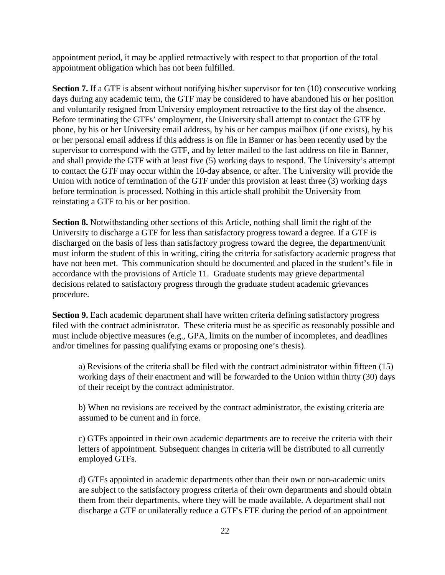appointment period, it may be applied retroactively with respect to that proportion of the total appointment obligation which has not been fulfilled.

**Section 7.** If a GTF is absent without notifying his/her supervisor for ten (10) consecutive working days during any academic term, the GTF may be considered to have abandoned his or her position and voluntarily resigned from University employment retroactive to the first day of the absence. Before terminating the GTFs' employment, the University shall attempt to contact the GTF by phone, by his or her University email address, by his or her campus mailbox (if one exists), by his or her personal email address if this address is on file in Banner or has been recently used by the supervisor to correspond with the GTF, and by letter mailed to the last address on file in Banner, and shall provide the GTF with at least five (5) working days to respond. The University's attempt to contact the GTF may occur within the 10-day absence, or after. The University will provide the Union with notice of termination of the GTF under this provision at least three (3) working days before termination is processed. Nothing in this article shall prohibit the University from reinstating a GTF to his or her position.

**Section 8.** Notwithstanding other sections of this Article, nothing shall limit the right of the University to discharge a GTF for less than satisfactory progress toward a degree. If a GTF is discharged on the basis of less than satisfactory progress toward the degree, the department/unit must inform the student of this in writing, citing the criteria for satisfactory academic progress that have not been met. This communication should be documented and placed in the student's file in accordance with the provisions of Article 11. Graduate students may grieve departmental decisions related to satisfactory progress through the graduate student academic grievances procedure.

**Section 9.** Each academic department shall have written criteria defining satisfactory progress filed with the contract administrator. These criteria must be as specific as reasonably possible and must include objective measures (e.g., GPA, limits on the number of incompletes, and deadlines and/or timelines for passing qualifying exams or proposing one's thesis).

a) Revisions of the criteria shall be filed with the contract administrator within fifteen (15) working days of their enactment and will be forwarded to the Union within thirty (30) days of their receipt by the contract administrator.

b) When no revisions are received by the contract administrator, the existing criteria are assumed to be current and in force.

c) GTFs appointed in their own academic departments are to receive the criteria with their letters of appointment. Subsequent changes in criteria will be distributed to all currently employed GTFs.

d) GTFs appointed in academic departments other than their own or non-academic units are subject to the satisfactory progress criteria of their own departments and should obtain them from their departments, where they will be made available. A department shall not discharge a GTF or unilaterally reduce a GTF's FTE during the period of an appointment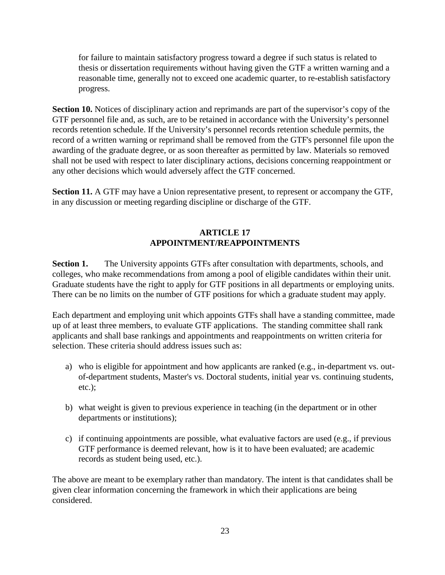for failure to maintain satisfactory progress toward a degree if such status is related to thesis or dissertation requirements without having given the GTF a written warning and a reasonable time, generally not to exceed one academic quarter, to re-establish satisfactory progress.

**Section 10.** Notices of disciplinary action and reprimands are part of the supervisor's copy of the GTF personnel file and, as such, are to be retained in accordance with the University's personnel records retention schedule. If the University's personnel records retention schedule permits, the record of a written warning or reprimand shall be removed from the GTF's personnel file upon the awarding of the graduate degree, or as soon thereafter as permitted by law. Materials so removed shall not be used with respect to later disciplinary actions, decisions concerning reappointment or any other decisions which would adversely affect the GTF concerned.

**Section 11.** A GTF may have a Union representative present, to represent or accompany the GTF, in any discussion or meeting regarding discipline or discharge of the GTF.

## **ARTICLE 17 APPOINTMENT/REAPPOINTMENTS**

**Section 1.** The University appoints GTFs after consultation with departments, schools, and colleges, who make recommendations from among a pool of eligible candidates within their unit. Graduate students have the right to apply for GTF positions in all departments or employing units. There can be no limits on the number of GTF positions for which a graduate student may apply.

Each department and employing unit which appoints GTFs shall have a standing committee, made up of at least three members, to evaluate GTF applications. The standing committee shall rank applicants and shall base rankings and appointments and reappointments on written criteria for selection. These criteria should address issues such as:

- a) who is eligible for appointment and how applicants are ranked (e.g., in-department vs. outof-department students, Master's vs. Doctoral students, initial year vs. continuing students, etc.);
- b) what weight is given to previous experience in teaching (in the department or in other departments or institutions);
- c) if continuing appointments are possible, what evaluative factors are used (e.g., if previous GTF performance is deemed relevant, how is it to have been evaluated; are academic records as student being used, etc.).

The above are meant to be exemplary rather than mandatory. The intent is that candidates shall be given clear information concerning the framework in which their applications are being considered.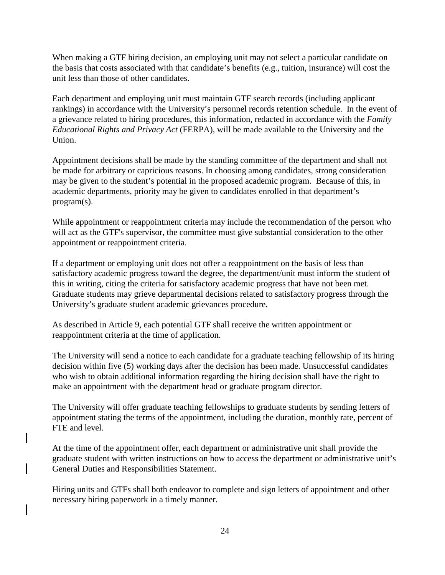When making a GTF hiring decision, an employing unit may not select a particular candidate on the basis that costs associated with that candidate's benefits (e.g., tuition, insurance) will cost the unit less than those of other candidates.

Each department and employing unit must maintain GTF search records (including applicant rankings) in accordance with the University's personnel records retention schedule. In the event of a grievance related to hiring procedures, this information, redacted in accordance with the *Family Educational Rights and Privacy Act* (FERPA), will be made available to the University and the Union.

Appointment decisions shall be made by the standing committee of the department and shall not be made for arbitrary or capricious reasons. In choosing among candidates, strong consideration may be given to the student's potential in the proposed academic program. Because of this, in academic departments, priority may be given to candidates enrolled in that department's program(s).

While appointment or reappointment criteria may include the recommendation of the person who will act as the GTF's supervisor, the committee must give substantial consideration to the other appointment or reappointment criteria.

If a department or employing unit does not offer a reappointment on the basis of less than satisfactory academic progress toward the degree, the department/unit must inform the student of this in writing, citing the criteria for satisfactory academic progress that have not been met. Graduate students may grieve departmental decisions related to satisfactory progress through the University's graduate student academic grievances procedure.

As described in Article 9, each potential GTF shall receive the written appointment or reappointment criteria at the time of application.

The University will send a notice to each candidate for a graduate teaching fellowship of its hiring decision within five (5) working days after the decision has been made. Unsuccessful candidates who wish to obtain additional information regarding the hiring decision shall have the right to make an appointment with the department head or graduate program director.

The University will offer graduate teaching fellowships to graduate students by sending letters of appointment stating the terms of the appointment, including the duration, monthly rate, percent of FTE and level.

At the time of the appointment offer, each department or administrative unit shall provide the graduate student with written instructions on how to access the department or administrative unit's General Duties and Responsibilities Statement.

Hiring units and GTFs shall both endeavor to complete and sign letters of appointment and other necessary hiring paperwork in a timely manner.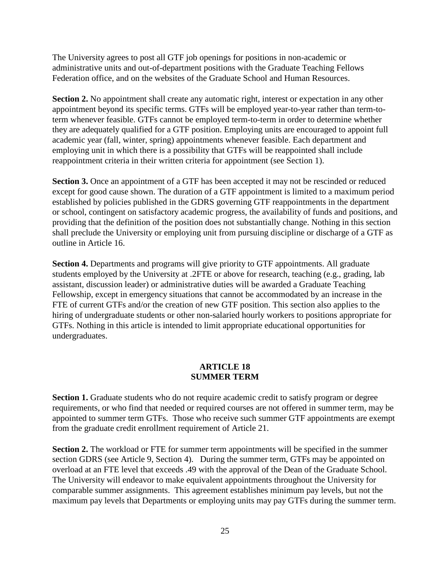The University agrees to post all GTF job openings for positions in non-academic or administrative units and out-of-department positions with the Graduate Teaching Fellows Federation office, and on the websites of the Graduate School and Human Resources.

**Section 2.** No appointment shall create any automatic right, interest or expectation in any other appointment beyond its specific terms. GTFs will be employed year-to-year rather than term-toterm whenever feasible. GTFs cannot be employed term-to-term in order to determine whether they are adequately qualified for a GTF position. Employing units are encouraged to appoint full academic year (fall, winter, spring) appointments whenever feasible. Each department and employing unit in which there is a possibility that GTFs will be reappointed shall include reappointment criteria in their written criteria for appointment (see Section 1).

**Section 3.** Once an appointment of a GTF has been accepted it may not be rescinded or reduced except for good cause shown. The duration of a GTF appointment is limited to a maximum period established by policies published in the GDRS governing GTF reappointments in the department or school, contingent on satisfactory academic progress, the availability of funds and positions, and providing that the definition of the position does not substantially change. Nothing in this section shall preclude the University or employing unit from pursuing discipline or discharge of a GTF as outline in Article 16.

**Section 4.** Departments and programs will give priority to GTF appointments. All graduate students employed by the University at .2FTE or above for research, teaching (e.g., grading, lab assistant, discussion leader) or administrative duties will be awarded a Graduate Teaching Fellowship, except in emergency situations that cannot be accommodated by an increase in the FTE of current GTFs and/or the creation of new GTF position. This section also applies to the hiring of undergraduate students or other non-salaried hourly workers to positions appropriate for GTFs. Nothing in this article is intended to limit appropriate educational opportunities for undergraduates.

#### **ARTICLE 18 SUMMER TERM**

**Section 1.** Graduate students who do not require academic credit to satisfy program or degree requirements, or who find that needed or required courses are not offered in summer term, may be appointed to summer term GTFs. Those who receive such summer GTF appointments are exempt from the graduate credit enrollment requirement of Article 21.

**Section 2.** The workload or FTE for summer term appointments will be specified in the summer section GDRS (see Article 9, Section 4). During the summer term, GTFs may be appointed on overload at an FTE level that exceeds .49 with the approval of the Dean of the Graduate School. The University will endeavor to make equivalent appointments throughout the University for comparable summer assignments. This agreement establishes minimum pay levels, but not the maximum pay levels that Departments or employing units may pay GTFs during the summer term.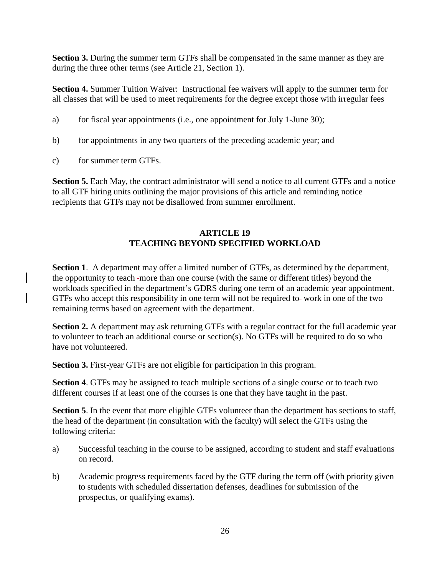**Section 3.** During the summer term GTFs shall be compensated in the same manner as they are during the three other terms (see Article 21, Section 1).

**Section 4.** Summer Tuition Waiver: Instructional fee waivers will apply to the summer term for all classes that will be used to meet requirements for the degree except those with irregular fees

- a) for fiscal year appointments (i.e., one appointment for July 1-June 30);
- b) for appointments in any two quarters of the preceding academic year; and
- c) for summer term GTFs.

**Section 5.** Each May, the contract administrator will send a notice to all current GTFs and a notice to all GTF hiring units outlining the major provisions of this article and reminding notice recipients that GTFs may not be disallowed from summer enrollment.

## **ARTICLE 19 TEACHING BEYOND SPECIFIED WORKLOAD**

**Section 1**. A department may offer a limited number of GTFs, as determined by the department, the opportunity to teach more than one course (with the same or different titles) beyond the workloads specified in the department's GDRS during one term of an academic year appointment. GTFs who accept this responsibility in one term will not be required to-work in one of the two remaining terms based on agreement with the department.

**Section 2.** A department may ask returning GTFs with a regular contract for the full academic year to volunteer to teach an additional course or section(s). No GTFs will be required to do so who have not volunteered.

**Section 3.** First-year GTFs are not eligible for participation in this program.

**Section 4**. GTFs may be assigned to teach multiple sections of a single course or to teach two different courses if at least one of the courses is one that they have taught in the past.

**Section 5**. In the event that more eligible GTFs volunteer than the department has sections to staff, the head of the department (in consultation with the faculty) will select the GTFs using the following criteria:

- a) Successful teaching in the course to be assigned, according to student and staff evaluations on record.
- b) Academic progress requirements faced by the GTF during the term off (with priority given to students with scheduled dissertation defenses, deadlines for submission of the prospectus, or qualifying exams).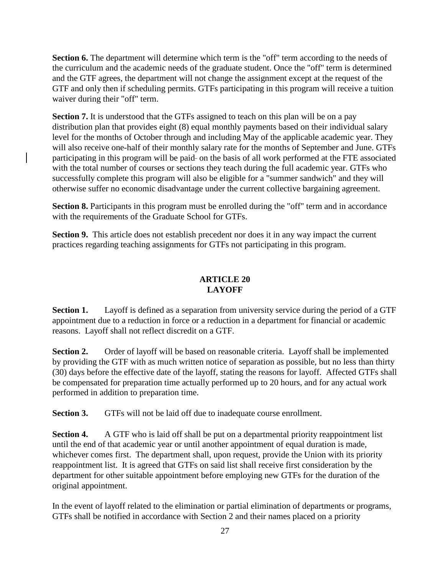**Section 6.** The department will determine which term is the "off" term according to the needs of the curriculum and the academic needs of the graduate student. Once the "off" term is determined and the GTF agrees, the department will not change the assignment except at the request of the GTF and only then if scheduling permits. GTFs participating in this program will receive a tuition waiver during their "off" term.

**Section 7.** It is understood that the GTFs assigned to teach on this plan will be on a pay distribution plan that provides eight (8) equal monthly payments based on their individual salary level for the months of October through and including May of the applicable academic year. They will also receive one-half of their monthly salary rate for the months of September and June. GTFs participating in this program will be paid- on the basis of all work performed at the FTE associated with the total number of courses or sections they teach during the full academic year. GTFs who successfully complete this program will also be eligible for a "summer sandwich" and they will otherwise suffer no economic disadvantage under the current collective bargaining agreement.

**Section 8.** Participants in this program must be enrolled during the "off" term and in accordance with the requirements of the Graduate School for GTFs.

**Section 9.** This article does not establish precedent nor does it in any way impact the current practices regarding teaching assignments for GTFs not participating in this program.

## **ARTICLE 20 LAYOFF**

**Section 1.** Layoff is defined as a separation from university service during the period of a GTF appointment due to a reduction in force or a reduction in a department for financial or academic reasons. Layoff shall not reflect discredit on a GTF.

**Section 2.** Order of layoff will be based on reasonable criteria. Layoff shall be implemented by providing the GTF with as much written notice of separation as possible, but no less than thirty (30) days before the effective date of the layoff, stating the reasons for layoff. Affected GTFs shall be compensated for preparation time actually performed up to 20 hours, and for any actual work performed in addition to preparation time.

**Section 3.** GTFs will not be laid off due to inadequate course enrollment.

**Section 4.** A GTF who is laid off shall be put on a departmental priority reappointment list until the end of that academic year or until another appointment of equal duration is made, whichever comes first. The department shall, upon request, provide the Union with its priority reappointment list. It is agreed that GTFs on said list shall receive first consideration by the department for other suitable appointment before employing new GTFs for the duration of the original appointment.

In the event of layoff related to the elimination or partial elimination of departments or programs, GTFs shall be notified in accordance with Section 2 and their names placed on a priority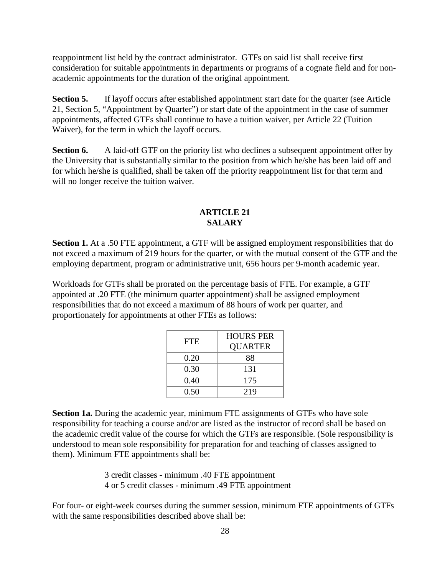reappointment list held by the contract administrator. GTFs on said list shall receive first consideration for suitable appointments in departments or programs of a cognate field and for nonacademic appointments for the duration of the original appointment.

**Section 5.** If layoff occurs after established appointment start date for the quarter (see Article 21, Section 5, "Appointment by Quarter") or start date of the appointment in the case of summer appointments, affected GTFs shall continue to have a tuition waiver, per Article 22 (Tuition Waiver), for the term in which the layoff occurs.

**Section 6.** A laid-off GTF on the priority list who declines a subsequent appointment offer by the University that is substantially similar to the position from which he/she has been laid off and for which he/she is qualified, shall be taken off the priority reappointment list for that term and will no longer receive the tuition waiver.

## **ARTICLE 21 SALARY**

**Section 1.** At a .50 FTE appointment, a GTF will be assigned employment responsibilities that do not exceed a maximum of 219 hours for the quarter, or with the mutual consent of the GTF and the employing department, program or administrative unit, 656 hours per 9-month academic year.

Workloads for GTFs shall be prorated on the percentage basis of FTE. For example, a GTF appointed at .20 FTE (the minimum quarter appointment) shall be assigned employment responsibilities that do not exceed a maximum of 88 hours of work per quarter, and proportionately for appointments at other FTEs as follows:

|            | <b>HOURS PER</b> |
|------------|------------------|
| <b>FTE</b> | <b>QUARTER</b>   |
| 0.20       | 88               |
| 0.30       | 131              |
| 0.40       | 175              |
| 0.50       | 219              |

**Section 1a.** During the academic year, minimum FTE assignments of GTFs who have sole responsibility for teaching a course and/or are listed as the instructor of record shall be based on the academic credit value of the course for which the GTFs are responsible. (Sole responsibility is understood to mean sole responsibility for preparation for and teaching of classes assigned to them). Minimum FTE appointments shall be:

> 3 credit classes - minimum .40 FTE appointment 4 or 5 credit classes - minimum .49 FTE appointment

For four- or eight-week courses during the summer session, minimum FTE appointments of GTFs with the same responsibilities described above shall be: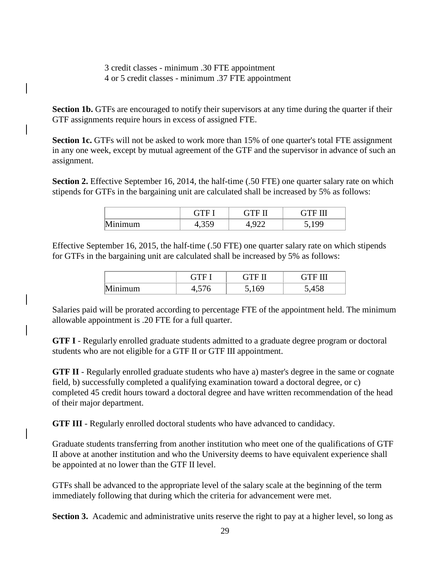3 credit classes - minimum .30 FTE appointment 4 or 5 credit classes - minimum .37 FTE appointment

**Section 1b.** GTFs are encouraged to notify their supervisors at any time during the quarter if their GTF assignments require hours in excess of assigned FTE.

**Section 1c.** GTFs will not be asked to work more than 15% of one quarter's total FTE assignment in any one week, except by mutual agreement of the GTF and the supervisor in advance of such an assignment.

**Section 2.** Effective September 16, 2014, the half-time (.50 FTE) one quarter salary rate on which stipends for GTFs in the bargaining unit are calculated shall be increased by 5% as follows:

|                         | . н.  | $\mathbf{H}$ |
|-------------------------|-------|--------------|
| M <sub>i</sub><br>nimum | 1,JJ/ | QQ<br>ັ      |

Effective September 16, 2015, the half-time (.50 FTE) one quarter salary rate on which stipends for GTFs in the bargaining unit are calculated shall be increased by 5% as follows:

|         | ET E           | GTE II         | <b>GTF III</b> |
|---------|----------------|----------------|----------------|
| Minimum | 576<br>4,J / U | 1 G G<br>J,10J | .458           |

Salaries paid will be prorated according to percentage FTE of the appointment held. The minimum allowable appointment is .20 FTE for a full quarter.

**GTF I** - Regularly enrolled graduate students admitted to a graduate degree program or doctoral students who are not eligible for a GTF II or GTF III appointment.

**GTF II** - Regularly enrolled graduate students who have a) master's degree in the same or cognate field, b) successfully completed a qualifying examination toward a doctoral degree, or c) completed 45 credit hours toward a doctoral degree and have written recommendation of the head of their major department.

**GTF III** - Regularly enrolled doctoral students who have advanced to candidacy.

Graduate students transferring from another institution who meet one of the qualifications of GTF II above at another institution and who the University deems to have equivalent experience shall be appointed at no lower than the GTF II level.

GTFs shall be advanced to the appropriate level of the salary scale at the beginning of the term immediately following that during which the criteria for advancement were met.

**Section 3.** Academic and administrative units reserve the right to pay at a higher level, so long as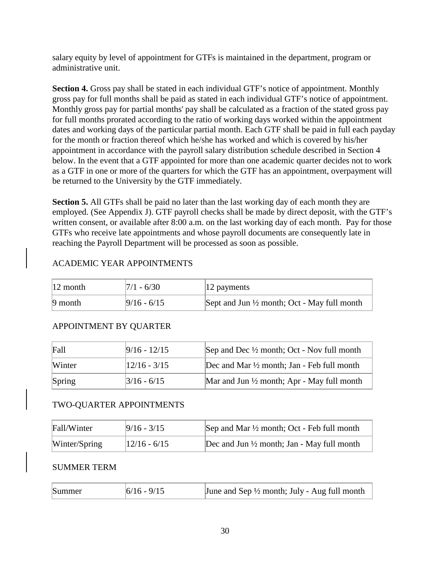salary equity by level of appointment for GTFs is maintained in the department, program or administrative unit.

**Section 4.** Gross pay shall be stated in each individual GTF's notice of appointment. Monthly gross pay for full months shall be paid as stated in each individual GTF's notice of appointment. Monthly gross pay for partial months' pay shall be calculated as a fraction of the stated gross pay for full months prorated according to the ratio of working days worked within the appointment dates and working days of the particular partial month. Each GTF shall be paid in full each payday for the month or fraction thereof which he/she has worked and which is covered by his/her appointment in accordance with the payroll salary distribution schedule described in Section 4 below. In the event that a GTF appointed for more than one academic quarter decides not to work as a GTF in one or more of the quarters for which the GTF has an appointment, overpayment will be returned to the University by the GTF immediately.

**Section 5.** All GTFs shall be paid no later than the last working day of each month they are employed. (See Appendix J). GTF payroll checks shall be made by direct deposit, with the GTF's written consent, or available after 8:00 a.m. on the last working day of each month. Pay for those GTFs who receive late appointments and whose payroll documents are consequently late in reaching the Payroll Department will be processed as soon as possible.

## ACADEMIC YEAR APPOINTMENTS

| $ 12$ month | $7/1 - 6/30$  | $ 12$ payments                                         |
|-------------|---------------|--------------------------------------------------------|
| $ 9$ month  | $9/16 - 6/15$ | Sept and Jun $\frac{1}{2}$ month; Oct - May full month |

## APPOINTMENT BY QUARTER

| Fall   | $ 9/16 - 12/15 $      | Sep and Dec $\frac{1}{2}$ month; Oct - Nov full month |
|--------|-----------------------|-------------------------------------------------------|
| Winter | $12/16 - 3/15$        | Dec and Mar 1/2 month; Jan - Feb full month           |
| Spring | $\frac{3}{16}$ - 6/15 | Mar and Jun $\frac{1}{2}$ month; Apr - May full month |

#### TWO-QUARTER APPOINTMENTS

| Fall/Winter   | $9/16 - 3/15$  | Sep and Mar $\frac{1}{2}$ month; Oct - Feb full month |
|---------------|----------------|-------------------------------------------------------|
| Winter/Spring | $12/16 - 6/15$ | Dec and Jun $\frac{1}{2}$ month; Jan - May full month |

#### SUMMER TERM

| Summer | $6/16 - 9/15$ | June and Sep $\frac{1}{2}$ month; July - Aug full month |
|--------|---------------|---------------------------------------------------------|
|--------|---------------|---------------------------------------------------------|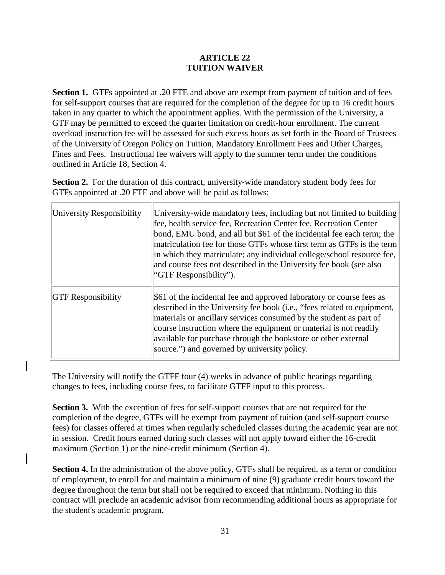## **ARTICLE 22 TUITION WAIVER**

**Section 1.** GTFs appointed at .20 FTE and above are exempt from payment of tuition and of fees for self-support courses that are required for the completion of the degree for up to 16 credit hours taken in any quarter to which the appointment applies. With the permission of the University, a GTF may be permitted to exceed the quarter limitation on credit-hour enrollment. The current overload instruction fee will be assessed for such excess hours as set forth in the Board of Trustees of the University of Oregon Policy on Tuition, Mandatory Enrollment Fees and Other Charges, Fines and Fees. Instructional fee waivers will apply to the summer term under the conditions outlined in Article 18, Section 4.

**Section 2.** For the duration of this contract, university-wide mandatory student body fees for GTFs appointed at .20 FTE and above will be paid as follows:

| University Responsibility | University-wide mandatory fees, including but not limited to building<br>fee, health service fee, Recreation Center fee, Recreation Center<br>bond, EMU bond, and all but \$61 of the incidental fee each term; the<br>matriculation fee for those GTFs whose first term as GTFs is the term<br>in which they matriculate; any individual college/school resource fee,<br>and course fees not described in the University fee book (see also<br>"GTF Responsibility"). |
|---------------------------|------------------------------------------------------------------------------------------------------------------------------------------------------------------------------------------------------------------------------------------------------------------------------------------------------------------------------------------------------------------------------------------------------------------------------------------------------------------------|
| <b>GTF Responsibility</b> | \$61 of the incidental fee and approved laboratory or course fees as<br>described in the University fee book (i.e., "fees related to equipment,<br>materials or ancillary services consumed by the student as part of<br>course instruction where the equipment or material is not readily<br>available for purchase through the bookstore or other external<br>source.") and governed by university policy.                                                           |

The University will notify the GTFF four (4) weeks in advance of public hearings regarding changes to fees, including course fees, to facilitate GTFF input to this process.

**Section 3.** With the exception of fees for self-support courses that are not required for the completion of the degree, GTFs will be exempt from payment of tuition (and self-support course fees) for classes offered at times when regularly scheduled classes during the academic year are not in session. Credit hours earned during such classes will not apply toward either the 16-credit maximum (Section 1) or the nine-credit minimum (Section 4).

**Section 4.** In the administration of the above policy, GTFs shall be required, as a term or condition of employment, to enroll for and maintain a minimum of nine (9) graduate credit hours toward the degree throughout the term but shall not be required to exceed that minimum. Nothing in this contract will preclude an academic advisor from recommending additional hours as appropriate for the student's academic program.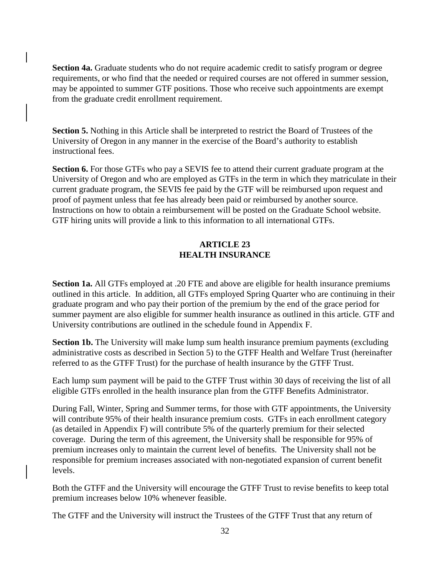**Section 4a.** Graduate students who do not require academic credit to satisfy program or degree requirements, or who find that the needed or required courses are not offered in summer session, may be appointed to summer GTF positions. Those who receive such appointments are exempt from the graduate credit enrollment requirement.

**Section 5.** Nothing in this Article shall be interpreted to restrict the Board of Trustees of the University of Oregon in any manner in the exercise of the Board's authority to establish instructional fees.

**Section 6.** For those GTFs who pay a SEVIS fee to attend their current graduate program at the University of Oregon and who are employed as GTFs in the term in which they matriculate in their current graduate program, the SEVIS fee paid by the GTF will be reimbursed upon request and proof of payment unless that fee has already been paid or reimbursed by another source. Instructions on how to obtain a reimbursement will be posted on the Graduate School website. GTF hiring units will provide a link to this information to all international GTFs.

## **ARTICLE 23 HEALTH INSURANCE**

**Section 1a.** All GTFs employed at .20 FTE and above are eligible for health insurance premiums outlined in this article. In addition, all GTFs employed Spring Quarter who are continuing in their graduate program and who pay their portion of the premium by the end of the grace period for summer payment are also eligible for summer health insurance as outlined in this article. GTF and University contributions are outlined in the schedule found in Appendix F.

**Section 1b.** The University will make lump sum health insurance premium payments (excluding administrative costs as described in Section 5) to the GTFF Health and Welfare Trust (hereinafter referred to as the GTFF Trust) for the purchase of health insurance by the GTFF Trust.

Each lump sum payment will be paid to the GTFF Trust within 30 days of receiving the list of all eligible GTFs enrolled in the health insurance plan from the GTFF Benefits Administrator.

During Fall, Winter, Spring and Summer terms, for those with GTF appointments, the University will contribute 95% of their health insurance premium costs. GTFs in each enrollment category (as detailed in Appendix F) will contribute 5% of the quarterly premium for their selected coverage. During the term of this agreement, the University shall be responsible for 95% of premium increases only to maintain the current level of benefits. The University shall not be responsible for premium increases associated with non-negotiated expansion of current benefit levels.

Both the GTFF and the University will encourage the GTFF Trust to revise benefits to keep total premium increases below 10% whenever feasible.

The GTFF and the University will instruct the Trustees of the GTFF Trust that any return of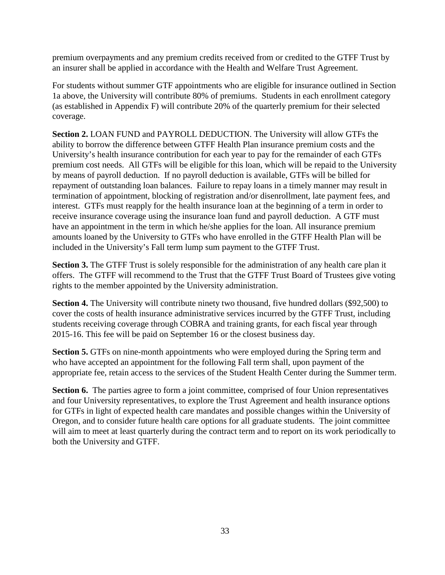premium overpayments and any premium credits received from or credited to the GTFF Trust by an insurer shall be applied in accordance with the Health and Welfare Trust Agreement.

For students without summer GTF appointments who are eligible for insurance outlined in Section 1a above, the University will contribute 80% of premiums. Students in each enrollment category (as established in Appendix F) will contribute 20% of the quarterly premium for their selected coverage.

**Section 2.** LOAN FUND and PAYROLL DEDUCTION. The University will allow GTFs the ability to borrow the difference between GTFF Health Plan insurance premium costs and the University's health insurance contribution for each year to pay for the remainder of each GTFs premium cost needs. All GTFs will be eligible for this loan, which will be repaid to the University by means of payroll deduction. If no payroll deduction is available, GTFs will be billed for repayment of outstanding loan balances. Failure to repay loans in a timely manner may result in termination of appointment, blocking of registration and/or disenrollment, late payment fees, and interest. GTFs must reapply for the health insurance loan at the beginning of a term in order to receive insurance coverage using the insurance loan fund and payroll deduction. A GTF must have an appointment in the term in which he/she applies for the loan. All insurance premium amounts loaned by the University to GTFs who have enrolled in the GTFF Health Plan will be included in the University's Fall term lump sum payment to the GTFF Trust.

**Section 3.** The GTFF Trust is solely responsible for the administration of any health care plan it offers. The GTFF will recommend to the Trust that the GTFF Trust Board of Trustees give voting rights to the member appointed by the University administration.

**Section 4.** The University will contribute ninety two thousand, five hundred dollars (\$92,500) to cover the costs of health insurance administrative services incurred by the GTFF Trust, including students receiving coverage through COBRA and training grants, for each fiscal year through 2015-16. This fee will be paid on September 16 or the closest business day.

**Section 5.** GTFs on nine-month appointments who were employed during the Spring term and who have accepted an appointment for the following Fall term shall, upon payment of the appropriate fee, retain access to the services of the Student Health Center during the Summer term.

**Section 6.** The parties agree to form a joint committee, comprised of four Union representatives and four University representatives, to explore the Trust Agreement and health insurance options for GTFs in light of expected health care mandates and possible changes within the University of Oregon, and to consider future health care options for all graduate students. The joint committee will aim to meet at least quarterly during the contract term and to report on its work periodically to both the University and GTFF.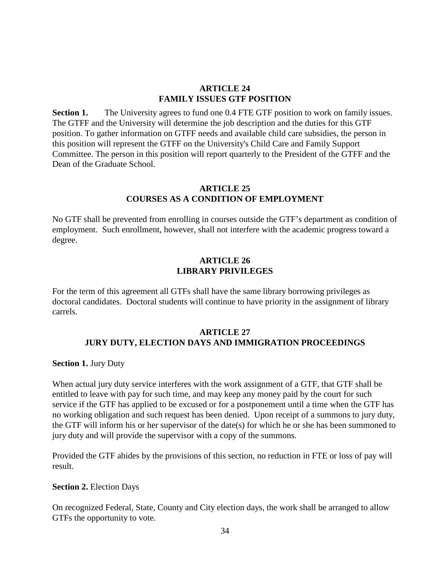## **ARTICLE 24 FAMILY ISSUES GTF POSITION**

**Section 1.** The University agrees to fund one 0.4 FTE GTF position to work on family issues. The GTFF and the University will determine the job description and the duties for this GTF position. To gather information on GTFF needs and available child care subsidies, the person in this position will represent the GTFF on the University's Child Care and Family Support Committee. The person in this position will report quarterly to the President of the GTFF and the Dean of the Graduate School.

## **ARTICLE 25 COURSES AS A CONDITION OF EMPLOYMENT**

No GTF shall be prevented from enrolling in courses outside the GTF's department as condition of employment. Such enrollment, however, shall not interfere with the academic progress toward a degree.

## **ARTICLE 26 LIBRARY PRIVILEGES**

For the term of this agreement all GTFs shall have the same library borrowing privileges as doctoral candidates. Doctoral students will continue to have priority in the assignment of library carrels.

## **ARTICLE 27 JURY DUTY, ELECTION DAYS AND IMMIGRATION PROCEEDINGS**

**Section 1.** Jury Duty

When actual jury duty service interferes with the work assignment of a GTF, that GTF shall be entitled to leave with pay for such time, and may keep any money paid by the court for such service if the GTF has applied to be excused or for a postponement until a time when the GTF has no working obligation and such request has been denied. Upon receipt of a summons to jury duty, the GTF will inform his or her supervisor of the date(s) for which he or she has been summoned to jury duty and will provide the supervisor with a copy of the summons.

Provided the GTF abides by the provisions of this section, no reduction in FTE or loss of pay will result.

## **Section 2.** Election Days

On recognized Federal, State, County and City election days, the work shall be arranged to allow GTFs the opportunity to vote.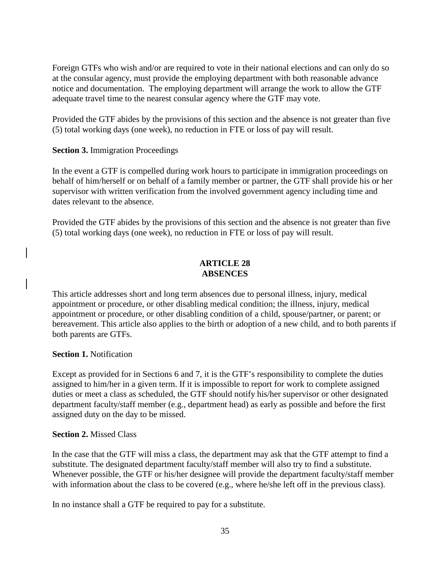Foreign GTFs who wish and/or are required to vote in their national elections and can only do so at the consular agency, must provide the employing department with both reasonable advance notice and documentation. The employing department will arrange the work to allow the GTF adequate travel time to the nearest consular agency where the GTF may vote.

Provided the GTF abides by the provisions of this section and the absence is not greater than five (5) total working days (one week), no reduction in FTE or loss of pay will result.

**Section 3. Immigration Proceedings** 

In the event a GTF is compelled during work hours to participate in immigration proceedings on behalf of him/herself or on behalf of a family member or partner, the GTF shall provide his or her supervisor with written verification from the involved government agency including time and dates relevant to the absence.

Provided the GTF abides by the provisions of this section and the absence is not greater than five (5) total working days (one week), no reduction in FTE or loss of pay will result.

## **ARTICLE 28 ABSENCES**

This article addresses short and long term absences due to personal illness, injury, medical appointment or procedure, or other disabling medical condition; the illness, injury, medical appointment or procedure, or other disabling condition of a child, spouse/partner, or parent; or bereavement. This article also applies to the birth or adoption of a new child, and to both parents if both parents are GTFs.

#### **Section 1.** Notification

Except as provided for in Sections 6 and 7, it is the GTF's responsibility to complete the duties assigned to him/her in a given term. If it is impossible to report for work to complete assigned duties or meet a class as scheduled, the GTF should notify his/her supervisor or other designated department faculty/staff member (e.g., department head) as early as possible and before the first assigned duty on the day to be missed.

#### **Section 2.** Missed Class

In the case that the GTF will miss a class, the department may ask that the GTF attempt to find a substitute. The designated department faculty/staff member will also try to find a substitute. Whenever possible, the GTF or his/her designee will provide the department faculty/staff member with information about the class to be covered (e.g., where he/she left off in the previous class).

In no instance shall a GTF be required to pay for a substitute.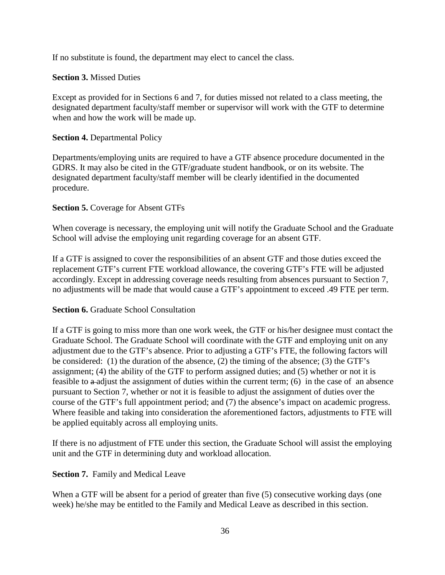If no substitute is found, the department may elect to cancel the class.

#### **Section 3.** Missed Duties

Except as provided for in Sections 6 and 7, for duties missed not related to a class meeting, the designated department faculty/staff member or supervisor will work with the GTF to determine when and how the work will be made up.

#### **Section 4.** Departmental Policy

Departments/employing units are required to have a GTF absence procedure documented in the GDRS. It may also be cited in the GTF/graduate student handbook, or on its website. The designated department faculty/staff member will be clearly identified in the documented procedure.

#### **Section 5.** Coverage for Absent GTFs

When coverage is necessary, the employing unit will notify the Graduate School and the Graduate School will advise the employing unit regarding coverage for an absent GTF.

If a GTF is assigned to cover the responsibilities of an absent GTF and those duties exceed the replacement GTF's current FTE workload allowance, the covering GTF's FTE will be adjusted accordingly. Except in addressing coverage needs resulting from absences pursuant to Section 7, no adjustments will be made that would cause a GTF's appointment to exceed .49 FTE per term.

#### **Section 6.** Graduate School Consultation

If a GTF is going to miss more than one work week, the GTF or his/her designee must contact the Graduate School. The Graduate School will coordinate with the GTF and employing unit on any adjustment due to the GTF's absence. Prior to adjusting a GTF's FTE, the following factors will be considered: (1) the duration of the absence, (2) the timing of the absence; (3) the GTF's assignment; (4) the ability of the GTF to perform assigned duties; and (5) whether or not it is feasible to  $\alpha$ -adjust the assignment of duties within the current term; (6) in the case of an absence pursuant to Section 7, whether or not it is feasible to adjust the assignment of duties over the course of the GTF's full appointment period; and (7) the absence's impact on academic progress. Where feasible and taking into consideration the aforementioned factors, adjustments to FTE will be applied equitably across all employing units.

If there is no adjustment of FTE under this section, the Graduate School will assist the employing unit and the GTF in determining duty and workload allocation.

#### **Section 7.** Family and Medical Leave

When a GTF will be absent for a period of greater than five (5) consecutive working days (one week) he/she may be entitled to the Family and Medical Leave as described in this section.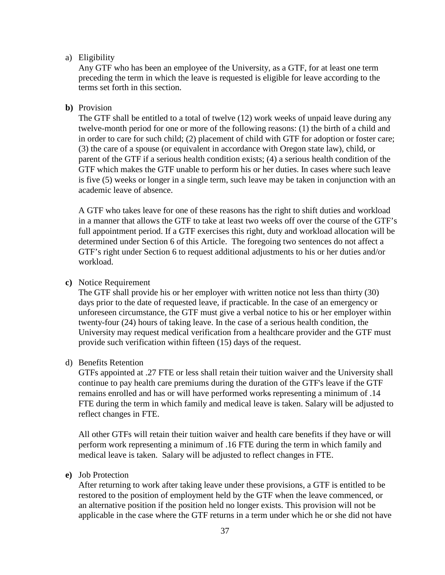#### a) Eligibility

Any GTF who has been an employee of the University, as a GTF, for at least one term preceding the term in which the leave is requested is eligible for leave according to the terms set forth in this section.

#### **b)** Provision

The GTF shall be entitled to a total of twelve (12) work weeks of unpaid leave during any twelve-month period for one or more of the following reasons: (1) the birth of a child and in order to care for such child; (2) placement of child with GTF for adoption or foster care; (3) the care of a spouse (or equivalent in accordance with Oregon state law), child, or parent of the GTF if a serious health condition exists; (4) a serious health condition of the GTF which makes the GTF unable to perform his or her duties. In cases where such leave is five (5) weeks or longer in a single term, such leave may be taken in conjunction with an academic leave of absence.

A GTF who takes leave for one of these reasons has the right to shift duties and workload in a manner that allows the GTF to take at least two weeks off over the course of the GTF's full appointment period. If a GTF exercises this right, duty and workload allocation will be determined under Section 6 of this Article. The foregoing two sentences do not affect a GTF's right under Section 6 to request additional adjustments to his or her duties and/or workload.

#### **c)** Notice Requirement

The GTF shall provide his or her employer with written notice not less than thirty (30) days prior to the date of requested leave, if practicable. In the case of an emergency or unforeseen circumstance, the GTF must give a verbal notice to his or her employer within twenty-four (24) hours of taking leave. In the case of a serious health condition, the University may request medical verification from a healthcare provider and the GTF must provide such verification within fifteen (15) days of the request.

#### d) Benefits Retention

GTFs appointed at .27 FTE or less shall retain their tuition waiver and the University shall continue to pay health care premiums during the duration of the GTF's leave if the GTF remains enrolled and has or will have performed works representing a minimum of .14 FTE during the term in which family and medical leave is taken. Salary will be adjusted to reflect changes in FTE.

All other GTFs will retain their tuition waiver and health care benefits if they have or will perform work representing a minimum of .16 FTE during the term in which family and medical leave is taken. Salary will be adjusted to reflect changes in FTE.

#### **e)** Job Protection

After returning to work after taking leave under these provisions, a GTF is entitled to be restored to the position of employment held by the GTF when the leave commenced, or an alternative position if the position held no longer exists. This provision will not be applicable in the case where the GTF returns in a term under which he or she did not have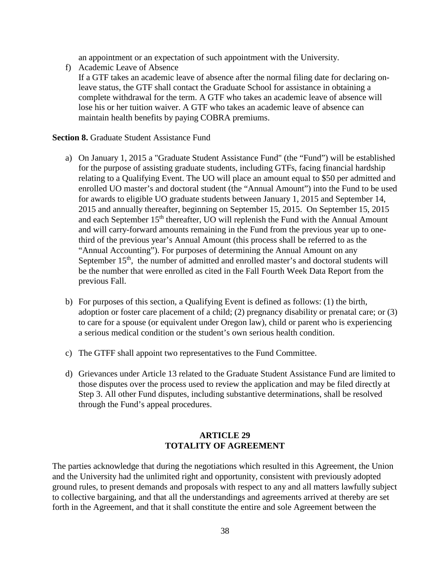an appointment or an expectation of such appointment with the University.

f) Academic Leave of Absence If a GTF takes an academic leave of absence after the normal filing date for declaring onleave status, the GTF shall contact the Graduate School for assistance in obtaining a complete withdrawal for the term. A GTF who takes an academic leave of absence will lose his or her tuition waiver. A GTF who takes an academic leave of absence can maintain health benefits by paying COBRA premiums.

#### **Section 8.** Graduate Student Assistance Fund

- a) On January 1, 2015 a "Graduate Student Assistance Fund" (the "Fund") will be established for the purpose of assisting graduate students, including GTFs, facing financial hardship relating to a Qualifying Event. The UO will place an amount equal to \$50 per admitted and enrolled UO master's and doctoral student (the "Annual Amount") into the Fund to be used for awards to eligible UO graduate students between January 1, 2015 and September 14, 2015 and annually thereafter, beginning on September 15, 2015. On September 15, 2015 and each September  $15<sup>th</sup>$  thereafter, UO will replenish the Fund with the Annual Amount and will carry-forward amounts remaining in the Fund from the previous year up to onethird of the previous year's Annual Amount (this process shall be referred to as the "Annual Accounting"). For purposes of determining the Annual Amount on any September 15<sup>th</sup>, the number of admitted and enrolled master's and doctoral students will be the number that were enrolled as cited in the Fall Fourth Week Data Report from the previous Fall.
- b) For purposes of this section, a Qualifying Event is defined as follows: (1) the birth, adoption or foster care placement of a child; (2) pregnancy disability or prenatal care; or (3) to care for a spouse (or equivalent under Oregon law), child or parent who is experiencing a serious medical condition or the student's own serious health condition.
- c) The GTFF shall appoint two representatives to the Fund Committee.
- d) Grievances under Article 13 related to the Graduate Student Assistance Fund are limited to those disputes over the process used to review the application and may be filed directly at Step 3. All other Fund disputes, including substantive determinations, shall be resolved through the Fund's appeal procedures.

#### **ARTICLE 29 TOTALITY OF AGREEMENT**

The parties acknowledge that during the negotiations which resulted in this Agreement, the Union and the University had the unlimited right and opportunity, consistent with previously adopted ground rules, to present demands and proposals with respect to any and all matters lawfully subject to collective bargaining, and that all the understandings and agreements arrived at thereby are set forth in the Agreement, and that it shall constitute the entire and sole Agreement between the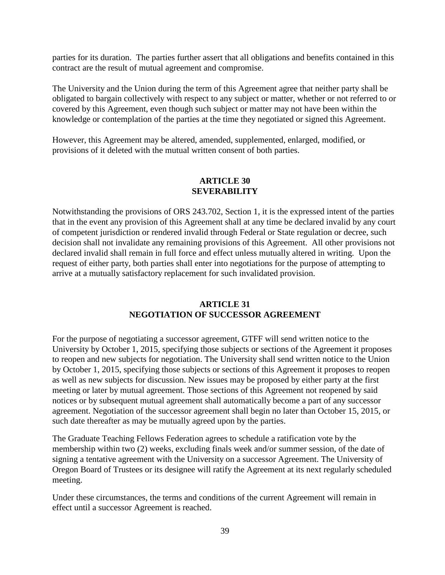parties for its duration. The parties further assert that all obligations and benefits contained in this contract are the result of mutual agreement and compromise.

The University and the Union during the term of this Agreement agree that neither party shall be obligated to bargain collectively with respect to any subject or matter, whether or not referred to or covered by this Agreement, even though such subject or matter may not have been within the knowledge or contemplation of the parties at the time they negotiated or signed this Agreement.

However, this Agreement may be altered, amended, supplemented, enlarged, modified, or provisions of it deleted with the mutual written consent of both parties.

#### **ARTICLE 30 SEVERABILITY**

Notwithstanding the provisions of ORS 243.702, Section 1, it is the expressed intent of the parties that in the event any provision of this Agreement shall at any time be declared invalid by any court of competent jurisdiction or rendered invalid through Federal or State regulation or decree, such decision shall not invalidate any remaining provisions of this Agreement. All other provisions not declared invalid shall remain in full force and effect unless mutually altered in writing. Upon the request of either party, both parties shall enter into negotiations for the purpose of attempting to arrive at a mutually satisfactory replacement for such invalidated provision.

#### **ARTICLE 31 NEGOTIATION OF SUCCESSOR AGREEMENT**

For the purpose of negotiating a successor agreement, GTFF will send written notice to the University by October 1, 2015, specifying those subjects or sections of the Agreement it proposes to reopen and new subjects for negotiation. The University shall send written notice to the Union by October 1, 2015, specifying those subjects or sections of this Agreement it proposes to reopen as well as new subjects for discussion. New issues may be proposed by either party at the first meeting or later by mutual agreement. Those sections of this Agreement not reopened by said notices or by subsequent mutual agreement shall automatically become a part of any successor agreement. Negotiation of the successor agreement shall begin no later than October 15, 2015, or such date thereafter as may be mutually agreed upon by the parties.

The Graduate Teaching Fellows Federation agrees to schedule a ratification vote by the membership within two (2) weeks, excluding finals week and/or summer session, of the date of signing a tentative agreement with the University on a successor Agreement. The University of Oregon Board of Trustees or its designee will ratify the Agreement at its next regularly scheduled meeting.

Under these circumstances, the terms and conditions of the current Agreement will remain in effect until a successor Agreement is reached.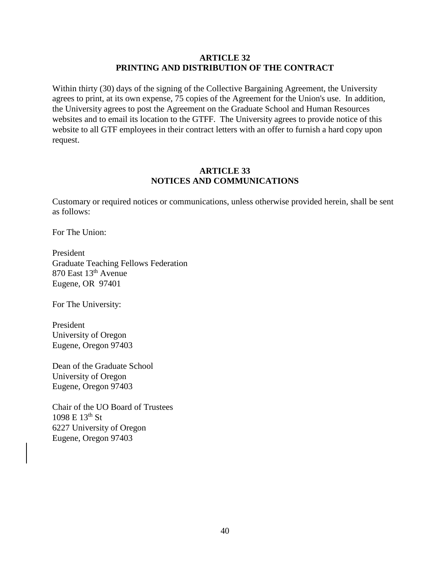#### **ARTICLE 32 PRINTING AND DISTRIBUTION OF THE CONTRACT**

Within thirty (30) days of the signing of the Collective Bargaining Agreement, the University agrees to print, at its own expense, 75 copies of the Agreement for the Union's use. In addition, the University agrees to post the Agreement on the Graduate School and Human Resources websites and to email its location to the GTFF. The University agrees to provide notice of this website to all GTF employees in their contract letters with an offer to furnish a hard copy upon request.

#### **ARTICLE 33 NOTICES AND COMMUNICATIONS**

Customary or required notices or communications, unless otherwise provided herein, shall be sent as follows:

For The Union:

President Graduate Teaching Fellows Federation 870 East 13<sup>th</sup> Avenue Eugene, OR 97401

For The University:

President University of Oregon Eugene, Oregon 97403

Dean of the Graduate School University of Oregon Eugene, Oregon 97403

Chair of the UO Board of Trustees  $1098 \text{ E } 13^{\text{th}} \text{ St.}$ 6227 University of Oregon Eugene, Oregon 97403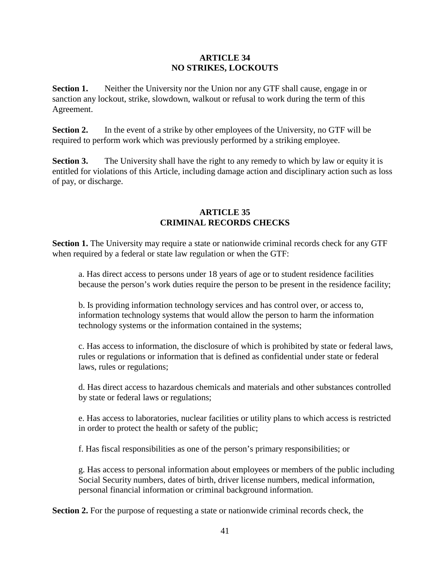## **ARTICLE 34 NO STRIKES, LOCKOUTS**

**Section 1.** Neither the University nor the Union nor any GTF shall cause, engage in or sanction any lockout, strike, slowdown, walkout or refusal to work during the term of this Agreement.

**Section 2.** In the event of a strike by other employees of the University, no GTF will be required to perform work which was previously performed by a striking employee.

**Section 3.** The University shall have the right to any remedy to which by law or equity it is entitled for violations of this Article, including damage action and disciplinary action such as loss of pay, or discharge.

## **ARTICLE 35 CRIMINAL RECORDS CHECKS**

**Section 1.** The University may require a state or nationwide criminal records check for any GTF when required by a federal or state law regulation or when the GTF:

a. Has direct access to persons under 18 years of age or to student residence facilities because the person's work duties require the person to be present in the residence facility;

b. Is providing information technology services and has control over, or access to, information technology systems that would allow the person to harm the information technology systems or the information contained in the systems;

c. Has access to information, the disclosure of which is prohibited by state or federal laws, rules or regulations or information that is defined as confidential under state or federal laws, rules or regulations;

d. Has direct access to hazardous chemicals and materials and other substances controlled by state or federal laws or regulations;

e. Has access to laboratories, nuclear facilities or utility plans to which access is restricted in order to protect the health or safety of the public;

f. Has fiscal responsibilities as one of the person's primary responsibilities; or

g. Has access to personal information about employees or members of the public including Social Security numbers, dates of birth, driver license numbers, medical information, personal financial information or criminal background information.

**Section 2.** For the purpose of requesting a state or nationwide criminal records check, the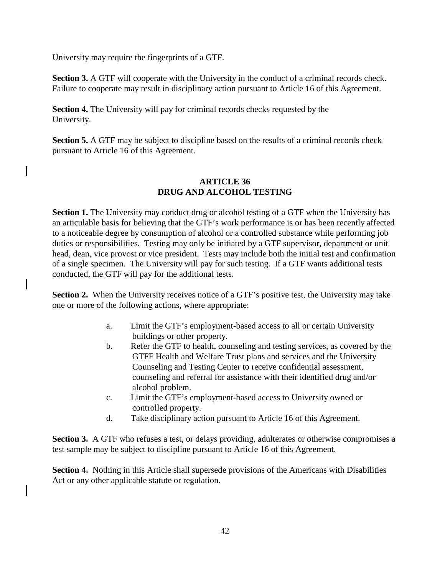University may require the fingerprints of a GTF.

**Section 3.** A GTF will cooperate with the University in the conduct of a criminal records check. Failure to cooperate may result in disciplinary action pursuant to Article 16 of this Agreement.

**Section 4.** The University will pay for criminal records checks requested by the University.

**Section 5.** A GTF may be subject to discipline based on the results of a criminal records check pursuant to Article 16 of this Agreement.

## **ARTICLE 36 DRUG AND ALCOHOL TESTING**

**Section 1.** The University may conduct drug or alcohol testing of a GTF when the University has an articulable basis for believing that the GTF's work performance is or has been recently affected to a noticeable degree by consumption of alcohol or a controlled substance while performing job duties or responsibilities. Testing may only be initiated by a GTF supervisor, department or unit head, dean, vice provost or vice president. Tests may include both the initial test and confirmation of a single specimen. The University will pay for such testing. If a GTF wants additional tests conducted, the GTF will pay for the additional tests.

**Section 2.** When the University receives notice of a GTF's positive test, the University may take one or more of the following actions, where appropriate:

- a. Limit the GTF's employment-based access to all or certain University buildings or other property.
- b. Refer the GTF to health, counseling and testing services, as covered by the GTFF Health and Welfare Trust plans and services and the University Counseling and Testing Center to receive confidential assessment, counseling and referral for assistance with their identified drug and/or alcohol problem.
- c. Limit the GTF's employment-based access to University owned or controlled property.
- d. Take disciplinary action pursuant to Article 16 of this Agreement.

**Section 3.** A GTF who refuses a test, or delays providing, adulterates or otherwise compromises a test sample may be subject to discipline pursuant to Article 16 of this Agreement.

**Section 4.** Nothing in this Article shall supersede provisions of the Americans with Disabilities Act or any other applicable statute or regulation.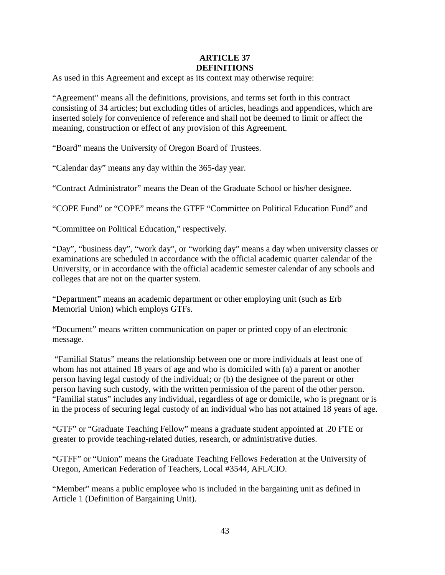## **ARTICLE 37 DEFINITIONS**

As used in this Agreement and except as its context may otherwise require:

"Agreement" means all the definitions, provisions, and terms set forth in this contract consisting of 34 articles; but excluding titles of articles, headings and appendices, which are inserted solely for convenience of reference and shall not be deemed to limit or affect the meaning, construction or effect of any provision of this Agreement.

"Board" means the University of Oregon Board of Trustees.

"Calendar day" means any day within the 365-day year.

"Contract Administrator" means the Dean of the Graduate School or his/her designee.

"COPE Fund" or "COPE" means the GTFF "Committee on Political Education Fund" and

"Committee on Political Education," respectively.

"Day", "business day", "work day", or "working day" means a day when university classes or examinations are scheduled in accordance with the official academic quarter calendar of the University, or in accordance with the official academic semester calendar of any schools and colleges that are not on the quarter system.

"Department" means an academic department or other employing unit (such as Erb Memorial Union) which employs GTFs.

"Document" means written communication on paper or printed copy of an electronic message.

"Familial Status" means the relationship between one or more individuals at least one of whom has not attained 18 years of age and who is domiciled with (a) a parent or another person having legal custody of the individual; or (b) the designee of the parent or other person having such custody, with the written permission of the parent of the other person. "Familial status" includes any individual, regardless of age or domicile, who is pregnant or is in the process of securing legal custody of an individual who has not attained 18 years of age.

"GTF" or "Graduate Teaching Fellow" means a graduate student appointed at .20 FTE or greater to provide teaching-related duties, research, or administrative duties.

"GTFF" or "Union" means the Graduate Teaching Fellows Federation at the University of Oregon, American Federation of Teachers, Local #3544, AFL/CIO.

"Member" means a public employee who is included in the bargaining unit as defined in Article 1 (Definition of Bargaining Unit).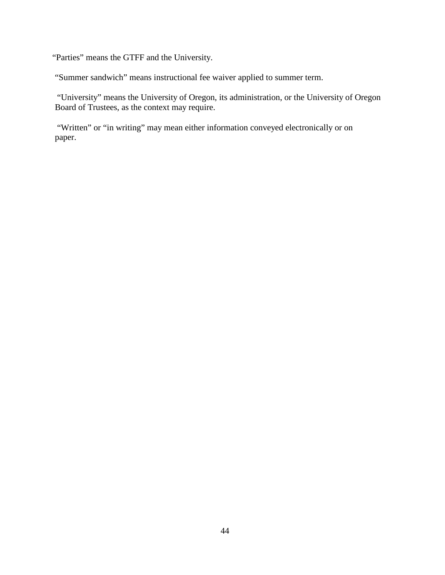"Parties" means the GTFF and the University.

"Summer sandwich" means instructional fee waiver applied to summer term.

"University" means the University of Oregon, its administration, or the University of Oregon Board of Trustees, as the context may require.

"Written" or "in writing" may mean either information conveyed electronically or on paper.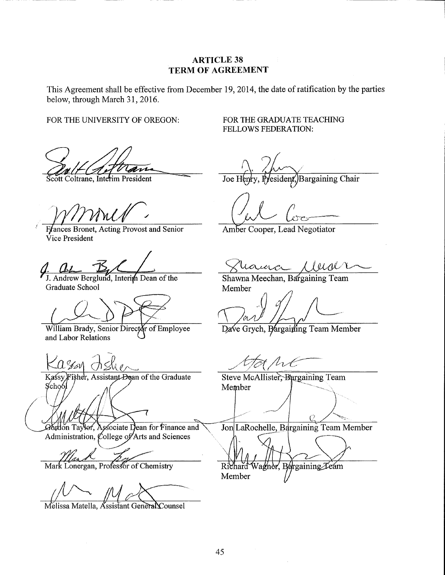#### **ARTICLE 38 TERM OF AGREEMENT**

This Agreement shall be effective from December 19, 2014, the date of ratification by the parties below, through March 31, 2016.

FOR THE UNIVERSITY OF OREGON:

Scott Coltrane, Interim President

Frances Bronet, Acting Provost and Senior Vice President

1. Andrew Berglund, Interim Dean of the

Graduate School

William Brady, Senior Director of Employee and Labor Relations

Assistant-Dean of the Graduate Kaśsy  $\sim$ choó

Gordon Taylor, Associate Dean for Finance and Administration, College of Arts and Sciences

Mark Lonergan, Professor of Chemistry

Melissa Matella, Assistant General Counsel

FOR THE GRADUATE TEACHING FELLOWS FEDERATION:

 $\overrightarrow{\text{esident}}$ Bargaining Chair Joe H

Amber Cooper, Lead Negotiator

Shawna Meechan, Bargaining Team Member

Dave Grych, Bargaining Team Member

Steve McAllister, Bargaining Team Member

Jon LaRochelle, Bargaining Team Member

Bargaining Team Richard

Member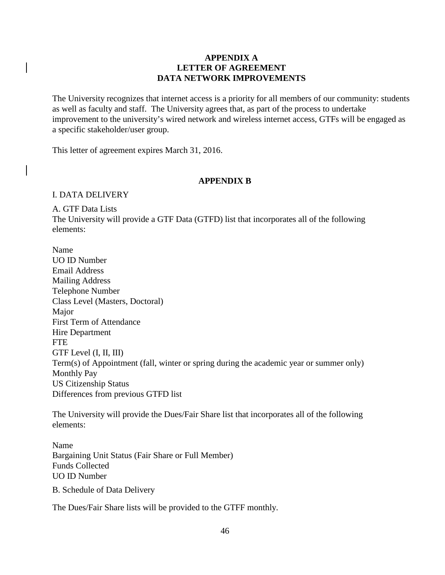#### **APPENDIX A LETTER OF AGREEMENT DATA NETWORK IMPROVEMENTS**

The University recognizes that internet access is a priority for all members of our community: students as well as faculty and staff. The University agrees that, as part of the process to undertake improvement to the university's wired network and wireless internet access, GTFs will be engaged as a specific stakeholder/user group.

This letter of agreement expires March 31, 2016.

#### **APPENDIX B**

#### I. DATA DELIVERY

A. GTF Data Lists The University will provide a GTF Data (GTFD) list that incorporates all of the following elements:

Name UO ID Number Email Address Mailing Address Telephone Number Class Level (Masters, Doctoral) Major First Term of Attendance Hire Department **FTE** GTF Level (I, II, III) Term(s) of Appointment (fall, winter or spring during the academic year or summer only) Monthly Pay US Citizenship Status Differences from previous GTFD list

The University will provide the Dues/Fair Share list that incorporates all of the following elements:

Name Bargaining Unit Status (Fair Share or Full Member) Funds Collected UO ID Number

B. Schedule of Data Delivery

The Dues/Fair Share lists will be provided to the GTFF monthly.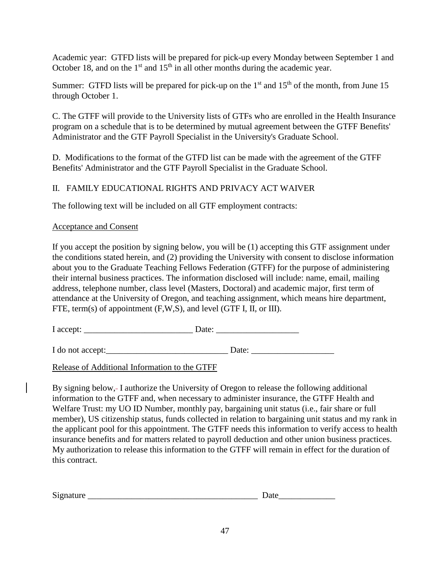Academic year: GTFD lists will be prepared for pick-up every Monday between September 1 and October 18, and on the  $1<sup>st</sup>$  and  $15<sup>th</sup>$  in all other months during the academic year.

Summer: GTFD lists will be prepared for pick-up on the  $1<sup>st</sup>$  and  $15<sup>th</sup>$  of the month, from June 15 through October 1.

C. The GTFF will provide to the University lists of GTFs who are enrolled in the Health Insurance program on a schedule that is to be determined by mutual agreement between the GTFF Benefits' Administrator and the GTF Payroll Specialist in the University's Graduate School.

D. Modifications to the format of the GTFD list can be made with the agreement of the GTFF Benefits' Administrator and the GTF Payroll Specialist in the Graduate School.

## II. FAMILY EDUCATIONAL RIGHTS AND PRIVACY ACT WAIVER

The following text will be included on all GTF employment contracts:

## Acceptance and Consent

If you accept the position by signing below, you will be (1) accepting this GTF assignment under the conditions stated herein, and (2) providing the University with consent to disclose information about you to the Graduate Teaching Fellows Federation (GTFF) for the purpose of administering their internal business practices. The information disclosed will include: name, email, mailing address, telephone number, class level (Masters, Doctoral) and academic major, first term of attendance at the University of Oregon, and teaching assignment, which means hire department, FTE, term(s) of appointment (F,W,S), and level (GTF I, II, or III).

I accept: \_\_\_\_\_\_\_\_\_\_\_\_\_\_\_\_\_\_\_\_\_\_\_\_\_ Date: \_\_\_\_\_\_\_\_\_\_\_\_\_\_\_\_\_\_\_

I do not accept:\_\_\_\_\_\_\_\_\_\_\_\_\_\_\_\_\_\_\_\_\_\_\_\_\_\_\_\_ Date: \_\_\_\_\_\_\_\_\_\_\_\_\_\_\_\_\_\_\_

Release of Additional Information to the GTFF

By signing below, I authorize the University of Oregon to release the following additional information to the GTFF and, when necessary to administer insurance, the GTFF Health and Welfare Trust: my UO ID Number, monthly pay, bargaining unit status (i.e., fair share or full member), US citizenship status, funds collected in relation to bargaining unit status and my rank in the applicant pool for this appointment. The GTFF needs this information to verify access to health insurance benefits and for matters related to payroll deduction and other union business practices. My authorization to release this information to the GTFF will remain in effect for the duration of this contract.

| Signature | $-1$<br>vale |
|-----------|--------------|
|           |              |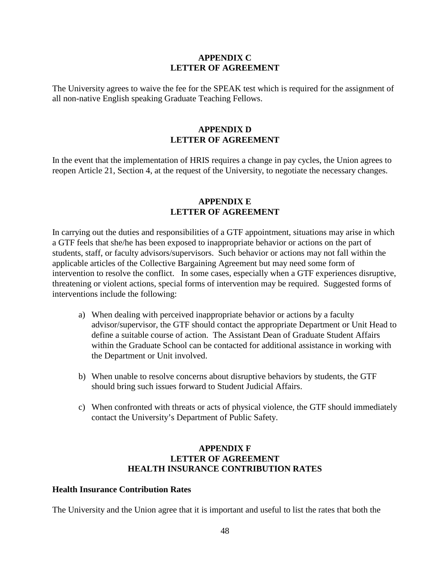#### **APPENDIX C LETTER OF AGREEMENT**

The University agrees to waive the fee for the SPEAK test which is required for the assignment of all non-native English speaking Graduate Teaching Fellows.

#### **APPENDIX D LETTER OF AGREEMENT**

In the event that the implementation of HRIS requires a change in pay cycles, the Union agrees to reopen Article 21, Section 4, at the request of the University, to negotiate the necessary changes.

#### **APPENDIX E LETTER OF AGREEMENT**

In carrying out the duties and responsibilities of a GTF appointment, situations may arise in which a GTF feels that she/he has been exposed to inappropriate behavior or actions on the part of students, staff, or faculty advisors/supervisors. Such behavior or actions may not fall within the applicable articles of the Collective Bargaining Agreement but may need some form of intervention to resolve the conflict. In some cases, especially when a GTF experiences disruptive, threatening or violent actions, special forms of intervention may be required. Suggested forms of interventions include the following:

- a) When dealing with perceived inappropriate behavior or actions by a faculty advisor/supervisor, the GTF should contact the appropriate Department or Unit Head to define a suitable course of action. The Assistant Dean of Graduate Student Affairs within the Graduate School can be contacted for additional assistance in working with the Department or Unit involved.
- b) When unable to resolve concerns about disruptive behaviors by students, the GTF should bring such issues forward to Student Judicial Affairs.
- c) When confronted with threats or acts of physical violence, the GTF should immediately contact the University's Department of Public Safety.

## **APPENDIX F LETTER OF AGREEMENT HEALTH INSURANCE CONTRIBUTION RATES**

#### **Health Insurance Contribution Rates**

The University and the Union agree that it is important and useful to list the rates that both the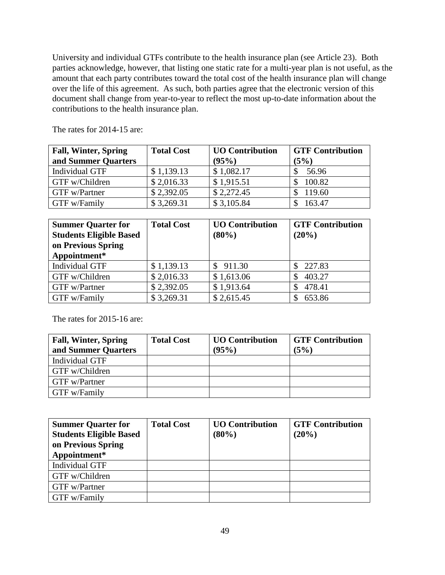University and individual GTFs contribute to the health insurance plan (see Article 23). Both parties acknowledge, however, that listing one static rate for a multi-year plan is not useful, as the amount that each party contributes toward the total cost of the health insurance plan will change over the life of this agreement. As such, both parties agree that the electronic version of this document shall change from year-to-year to reflect the most up-to-date information about the contributions to the health insurance plan.

| <b>Fall, Winter, Spring</b> | <b>Total Cost</b> | <b>UO Contribution</b> | <b>GTF Contribution</b> |
|-----------------------------|-------------------|------------------------|-------------------------|
| and Summer Quarters         |                   | (95%)                  | $(5\%)$                 |
| Individual GTF              | \$1,139.13        | \$1,082.17             | 56.96                   |
| GTF w/Children              | \$2,016.33        | \$1,915.51             | 100.82                  |
| GTF w/Partner               | \$2,392.05        | \$2,272.45             | 119.60                  |
| GTF w/Family                | \$3,269.31        | \$3,105.84             | 163.47                  |

The rates for 2014-15 are:

| <b>Summer Quarter for</b><br><b>Students Eligible Based</b><br>on Previous Spring<br>Appointment* | <b>Total Cost</b> | <b>UO Contribution</b><br>(80%) | <b>GTF Contribution</b><br>(20%) |
|---------------------------------------------------------------------------------------------------|-------------------|---------------------------------|----------------------------------|
| <b>Individual GTF</b>                                                                             | \$1,139.13        | 911.30                          | 227.83<br>\$                     |
| GTF w/Children                                                                                    | \$2,016.33        | \$1,613.06                      | 403.27                           |
| GTF w/Partner                                                                                     | \$2,392.05        | \$1,913.64                      | 478.41<br>S                      |
| GTF w/Family                                                                                      | \$3,269.31        | \$2,615.45                      | 653.86                           |

The rates for 2015-16 are:

| <b>Fall, Winter, Spring</b> | <b>Total Cost</b> | <b>UO Contribution</b> | <b>GTF Contribution</b> |
|-----------------------------|-------------------|------------------------|-------------------------|
| and Summer Quarters         |                   | (95%)                  | (5%)                    |
| Individual GTF              |                   |                        |                         |
| GTF w/Children              |                   |                        |                         |
| <b>GTF</b> w/Partner        |                   |                        |                         |
| <b>GTF</b> w/Family         |                   |                        |                         |

| <b>Summer Quarter for</b>      | <b>Total Cost</b> | <b>UO</b> Contribution | <b>GTF Contribution</b> |
|--------------------------------|-------------------|------------------------|-------------------------|
| <b>Students Eligible Based</b> |                   | $(80\%)$               | (20%)                   |
| on Previous Spring             |                   |                        |                         |
| Appointment*                   |                   |                        |                         |
| <b>Individual GTF</b>          |                   |                        |                         |
| GTF w/Children                 |                   |                        |                         |
| GTF w/Partner                  |                   |                        |                         |
| GTF w/Family                   |                   |                        |                         |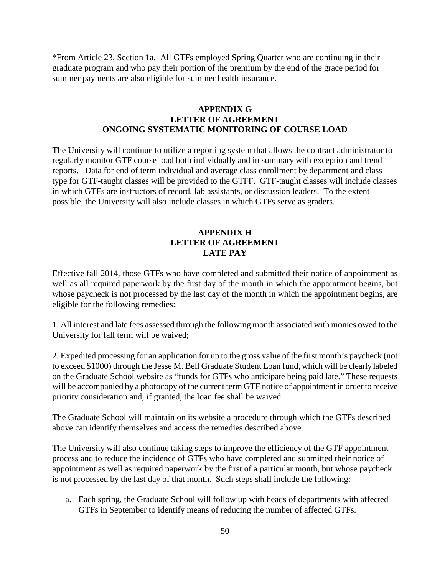\*From Article 23, Section 1a. All GTFs employed Spring Quarter who are continuing in their graduate program and who pay their portion of the premium by the end of the grace period for summer payments are also eligible for summer health insurance.

#### **APPENDIX G LETTER OF AGREEMENT ONGOING SYSTEMATIC MONITORING OF COURSE LOAD**

The University will continue to utilize a reporting system that allows the contract administrator to regularly monitor GTF course load both individually and in summary with exception and trend reports. Data for end of term individual and average class enrollment by department and class type for GTF-taught classes will be provided to the GTFF. GTF-taught classes will include classes in which GTFs are instructors of record, lab assistants, or discussion leaders. To the extent possible, the University will also include classes in which GTFs serve as graders.

## **APPENDIX H LETTER OF AGREEMENT LATE PAY**

Effective fall 2014, those GTFs who have completed and submitted their notice of appointment as well as all required paperwork by the first day of the month in which the appointment begins, but whose paycheck is not processed by the last day of the month in which the appointment begins, are eligible for the following remedies:

1. All interest and late fees assessed through the following month associated with monies owed to the University for fall term will be waived;

2. Expedited processing for an application for up to the gross value of the first month's paycheck (not to exceed \$1000) through the Jesse M. Bell Graduate Student Loan fund, which will be clearly labeled on the Graduate School website as "funds for GTFs who anticipate being paid late." These requests will be accompanied by a photocopy of the current term GTF notice of appointment in order to receive priority consideration and, if granted, the loan fee shall be waived.

The Graduate School will maintain on its website a procedure through which the GTFs described above can identify themselves and access the remedies described above.

The University will also continue taking steps to improve the efficiency of the GTF appointment process and to reduce the incidence of GTFs who have completed and submitted their notice of appointment as well as required paperwork by the first of a particular month, but whose paycheck is not processed by the last day of that month. Such steps shall include the following:

a. Each spring, the Graduate School will follow up with heads of departments with affected GTFs in September to identify means of reducing the number of affected GTFs.